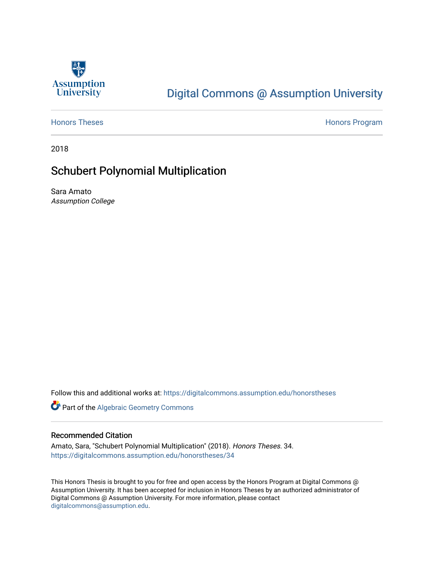

# [Digital Commons @ Assumption University](https://digitalcommons.assumption.edu/)

[Honors Theses](https://digitalcommons.assumption.edu/honorstheses) **Honors** Program

2018

# Schubert Polynomial Multiplication

Sara Amato Assumption College

Follow this and additional works at: [https://digitalcommons.assumption.edu/honorstheses](https://digitalcommons.assumption.edu/honorstheses?utm_source=digitalcommons.assumption.edu%2Fhonorstheses%2F34&utm_medium=PDF&utm_campaign=PDFCoverPages)

Part of the [Algebraic Geometry Commons](http://network.bepress.com/hgg/discipline/176?utm_source=digitalcommons.assumption.edu%2Fhonorstheses%2F34&utm_medium=PDF&utm_campaign=PDFCoverPages)

# Recommended Citation

Amato, Sara, "Schubert Polynomial Multiplication" (2018). Honors Theses. 34. [https://digitalcommons.assumption.edu/honorstheses/34](https://digitalcommons.assumption.edu/honorstheses/34?utm_source=digitalcommons.assumption.edu%2Fhonorstheses%2F34&utm_medium=PDF&utm_campaign=PDFCoverPages) 

This Honors Thesis is brought to you for free and open access by the Honors Program at Digital Commons @ Assumption University. It has been accepted for inclusion in Honors Theses by an authorized administrator of Digital Commons @ Assumption University. For more information, please contact [digitalcommons@assumption.edu](mailto:digitalcommons@assumption.edu).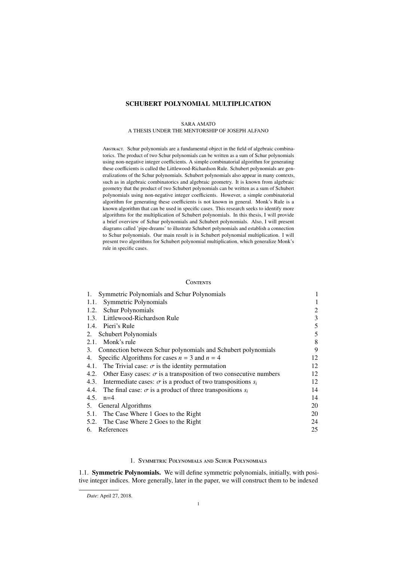# SCHUBERT POLYNOMIAL MULTIPLICATION

#### SARA AMATO

# A THESIS UNDER THE MENTORSHIP OF JOSEPH ALFANO

Abstract. Schur polynomials are a fundamental object in the field of algebraic combinatorics. The product of two Schur polynomials can be written as a sum of Schur polynomials using non-negative integer coefficients. A simple combinatorial algorithm for generating these coefficients is called the Littlewood-Richardson Rule. Schubert polynomials are generalizations of the Schur polynomials. Schubert polynomials also appear in many contexts, such as in algebraic combinatorics and algebraic geometry. It is known from algebraic geometry that the product of two Schubert polynomials can be written as a sum of Schubert polynomials using non-negative integer coefficients. However, a simple combinatorial algorithm for generating these coefficients is not known in general. Monk's Rule is a known algorithm that can be used in specific cases. This research seeks to identify more algorithms for the multiplication of Schubert polynomials. In this thesis, I will provide a brief overview of Schur polynomials and Schubert polynomials. Also, I will present diagrams called 'pipe-dreams' to illustrate Schubert polynomials and establish a connection to Schur polynomials. Our main result is in Schubert polynomial multiplication. I will present two algorithms for Schubert polynomial multiplication, which generalize Monk's rule in specific cases.

## **CONTENTS**

| Symmetric Polynomials and Schur Polynomials<br>1.                                |    |
|----------------------------------------------------------------------------------|----|
| Symmetric Polynomials<br>1.1.                                                    |    |
| Schur Polynomials<br>1.2.                                                        | 2  |
| Littlewood-Richardson Rule<br>1.3.                                               | 3  |
| 1.4. Pieri's Rule                                                                | 5  |
| Schubert Polynomials<br>2.                                                       | 5  |
| 2.1. Monk's rule                                                                 | 8  |
| 3. Connection between Schur polynomials and Schubert polynomials                 | 9  |
| Specific Algorithms for cases $n = 3$ and $n = 4$<br>4.                          | 12 |
| The Trivial case: $\sigma$ is the identity permutation<br>4.1.                   | 12 |
| Other Easy cases: $\sigma$ is a transposition of two consecutive numbers<br>4.2. | 12 |
| 4.3. Intermediate cases: $\sigma$ is a product of two transpositions $s_i$       | 12 |
| 4.4. The final case: $\sigma$ is a product of three transpositions $s_i$         | 14 |
| 4.5.<br>$n=4$                                                                    | 14 |
| 5. General Algorithms                                                            | 20 |
| 5.1. The Case Where 1 Goes to the Right                                          | 20 |
| 5.2. The Case Where 2 Goes to the Right                                          | 24 |
| References<br>6.                                                                 | 25 |

# 1. Symmetric Polynomials and Schur Polynomials

1.1. Symmetric Polynomials. We will define symmetric polynomials, initially, with positive integer indices. More generally, later in the paper, we will construct them to be indexed

*Date*: April 27, 2018.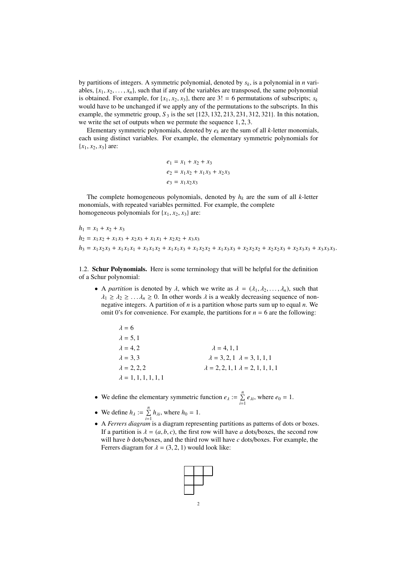by partitions of integers. A symmetric polynomial, denoted by *sk*, is a polynomial in *n* variables,  $\{x_1, x_2, \ldots, x_n\}$ , such that if any of the variables are transposed, the same polynomial is obtained. For example, for  $\{x_1, x_2, x_3\}$ , there are  $3! = 6$  permutations of subscripts;  $s_k$ would have to be unchanged if we apply any of the permutations to the subscripts. In this example, the symmetric group,  $S_3$  is the set  $\{123, 132, 213, 231, 312, 321\}$ . In this notation, we write the set of outputs when we permute the sequence 1, <sup>2</sup>, 3.

Elementary symmetric polynomials, denoted by  $e_k$  are the sum of all  $k$ -letter monomials, each using distinct variables. For example, the elementary symmetric polynomials for  ${x_1, x_2, x_3}$  are:

$$
e_1 = x_1 + x_2 + x_3
$$
  
\n
$$
e_2 = x_1 x_2 + x_1 x_3 + x_2 x_3
$$
  
\n
$$
e_3 = x_1 x_2 x_3
$$

The complete homogeneous polynomials, denoted by  $h_k$  are the sum of all *k*-letter monomials, with repeated variables permitted. For example, the complete homogeneous polynomials for  $\{x_1, x_2, x_3\}$  are:

$$
h_1 = x_1 + x_2 + x_3
$$
  
\n
$$
h_2 = x_1x_2 + x_1x_3 + x_2x_3 + x_1x_1 + x_2x_2 + x_3x_3
$$
  
\n
$$
h_3 = x_1x_2x_3 + x_1x_1x_1 + x_1x_1x_2 + x_1x_1x_3 + x_1x_2x_2 + x_1x_3x_3 + x_2x_2x_2 + x_2x_2x_3 + x_2x_3x_3 + x_3x_3x_3.
$$

1.2. Schur Polynomials. Here is some terminology that will be helpful for the definition of a Schur polynomial:

• A *partition* is denoted by  $\lambda$ , which we write as  $\lambda = (\lambda_1, \lambda_2, ..., \lambda_n)$ , such that  $\lambda_1 \geq \lambda_2 \geq \ldots \lambda_n \geq 0$ . In other words  $\lambda$  is a weakly decreasing sequence of nonnegative integers. A partition of *n* is a partition whose parts sum up to equal *n*. We omit 0's for convenience. For example, the partitions for  $n = 6$  are the following:

| $\lambda = 6$                |                                                |
|------------------------------|------------------------------------------------|
| $\lambda = 5, 1$             |                                                |
| $\lambda = 4.2$              | $\lambda = 4, 1, 1$                            |
| $\lambda = 3.3$              | $\lambda = 3, 2, 1$ $\lambda = 3, 1, 1, 1$     |
| $\lambda = 2, 2, 2$          | $\lambda = 2, 2, 1, 1 \lambda = 2, 1, 1, 1, 1$ |
| $\lambda = 1, 1, 1, 1, 1, 1$ |                                                |
|                              |                                                |

- We define the elementary symmetric function  $e_{\lambda} := \sum_{i=1}^{n} e_{\lambda i}$ , where  $e_0 = 1$ .
- We define  $h_{\lambda} := \sum_{i=1}^{n} h_{\lambda i}$ , where  $h_0 = 1$ .
- A *Ferrers diagram* is a diagram representing partitions as patterns of dots or boxes. If a partition is  $\lambda = (a, b, c)$ , the first row will have *a* dots/boxes, the second row will have *b* dots/boxes, and the third row will have *c* dots/boxes. For example, the Ferrers diagram for  $\lambda = (3, 2, 1)$  would look like:

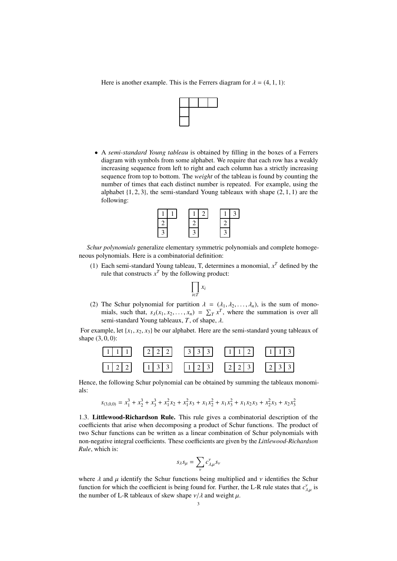Here is another example. This is the Ferrers diagram for  $\lambda = (4, 1, 1)$ :



• A *semi-standard Young tableau* is obtained by filling in the boxes of a Ferrers diagram with symbols from some alphabet. We require that each row has a weakly increasing sequence from left to right and each column has a strictly increasing sequence from top to bottom. The *weight* of the tableau is found by counting the number of times that each distinct number is repeated. For example, using the alphabet  $\{1, 2, 3\}$ , the semi-standard Young tableaux with shape  $(2, 1, 1)$  are the following:



*Schur polynomials* generalize elementary symmetric polynomials and complete homogeneous polynomials. Here is a combinatorial definition:

(1) Each semi-standard Young tableau, T, determines a monomial,  $x<sup>T</sup>$  defined by the rule that constructs  $x^T$  by the following product:



(2) The Schur polynomial for partition  $\lambda = (\lambda_1, \lambda_2, \dots, \lambda_n)$ , is the sum of monomials, such that,  $s_\lambda(x_1, x_2, \dots, x_n) = \sum_{T} x^T$ , where the summation is over all semi-standard Young tableaux T of shape semi-standard Young tableaux, *<sup>T</sup>*, of shape, λ.

For example, let  $\{x_1, x_2, x_3\}$  be our alphabet. Here are the semi-standard young tableaux of shape  $(3, 0, 0)$ :



Hence, the following Schur polynomial can be obtained by summing the tableaux monomials:

 $s_{(3,0,0)} = x_1^3 + x_2^3 + x_3^3 + x_1^2 x_2 + x_1^2 x_3 + x_1 x_2^2 + x_1 x_3^2 + x_1 x_2 x_3 + x_2^2 x_3 + x_2 x_3^2$ 

1.3. Littlewood-Richardson Rule. This rule gives a combinatorial description of the coefficients that arise when decomposing a product of Schur functions. The product of two Schur functions can be written as a linear combination of Schur polynomials with non-negative integral coefficients. These coefficients are given by the *Littlewood-Richardson Rule*, which is:

$$
s_{\lambda}s_{\mu} = \sum_{\nu} c_{\lambda,\mu}^{\nu} s_{\nu}
$$

where  $\lambda$  and  $\mu$  identify the Schur functions being multiplied and  $\nu$  identifies the Schur<br>function for which the coefficient is being found for Further, the L-R rule states that  $c^{\gamma}$  is function for which the coefficient is being found for. Further, the L-R rule states that  $c_{\lambda,\mu}^{\gamma}$  is<br>the number of L-R tableaux of skew shape  $\nu/\lambda$  and weight  $\mu$ the number of L-R tableaux of skew shape  $\nu/\lambda$  and weight  $\mu$ .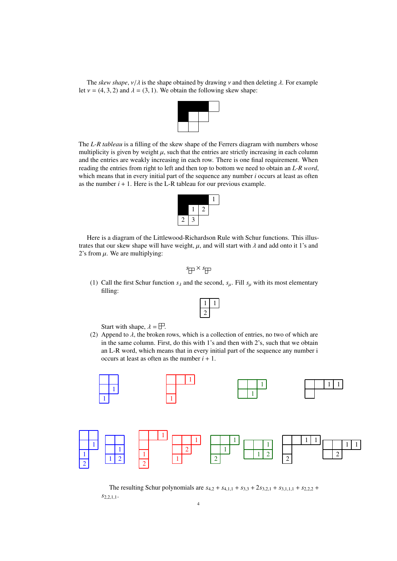The *skew shape*,  $v/\lambda$  is the shape obtained by drawing  $v$  and then deleting  $\lambda$ . For example let  $v = (4, 3, 2)$  and  $\lambda = (3, 1)$ . We obtain the following skew shape:



The *L-R tableau* is a filling of the skew shape of the Ferrers diagram with numbers whose multiplicity is given by weight  $\mu$ , such that the entries are strictly increasing in each column and the entries are weakly increasing in each row. There is one final requirement. When reading the entries from right to left and then top to bottom we need to obtain an *L-R word*, which means that in every initial part of the sequence any number *i* occurs at least as often as the number  $i + 1$ . Here is the L-R tableau for our previous example.



Here is a diagram of the Littlewood-Richardson Rule with Schur functions. This illustrates that our skew shape will have weight,  $\mu$ , and will start with  $\lambda$  and add onto it 1's and 2's from  $\mu$ . We are multiplying:

$$
s_{\overline{\bigoplus}} \times s_{\overline{\bigoplus}}
$$

(1) Call the first Schur function  $s_\lambda$  and the second,  $s_\mu$ . Fill  $s_\mu$  with its most elementary filling:

Start with shape,  $\lambda = \Box$ .

(2) Append to  $\lambda$ , the broken rows, which is a collection of entries, no two of which are in the same column. First, do this with 1's and then with 2's, such that we obtain an L-R word, which means that in every initial part of the sequence any number i occurs at least as often as the number  $i + 1$ .



The resulting Schur polynomials are  $s_{4,2} + s_{4,1,1} + s_{3,3} + 2s_{3,2,1} + s_{3,1,1,1} + s_{2,2,2} +$  $s_{2,2,1,1}$ .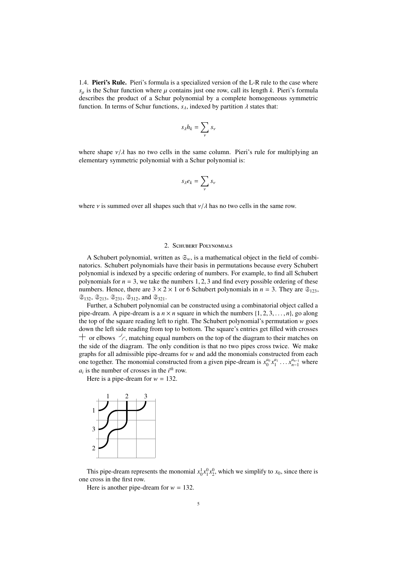1.4. Pieri's Rule. Pieri's formula is a specialized version of the L-R rule to the case where  $s_{\mu}$  is the Schur function where  $\mu$  contains just one row, call its length *k*. Pieri's formula describes the product of a Schur polynomial by a complete homogeneous symmetric function. In terms of Schur functions,  $s_{\lambda}$ , indexed by partition  $\lambda$  states that:

$$
s_\lambda h_k = \sum_\nu s_\nu
$$

where shape  $v/\lambda$  has no two cells in the same column. Pieri's rule for multiplying an elementary symmetric polynomial with a Schur polynomial is:

$$
s_{\lambda}e_k=\sum_{\nu}s_{\nu}
$$

where *v* is summed over all shapes such that  $\nu/\lambda$  has no two cells in the same row.

# 2. Schubert Polynomials

A Schubert polynomial, written as  $\mathfrak{S}_w$ , is a mathematical object in the field of combinatorics. Schubert polynomials have their basis in permutations because every Schubert polynomial is indexed by a specific ordering of numbers. For example, to find all Schubert polynomials for  $n = 3$ , we take the numbers 1, 2, 3 and find every possible ordering of these numbers. Hence, there are  $3 \times 2 \times 1$  or 6 Schubert polynomials in  $n = 3$ . They are  $\mathfrak{S}_{123}$ ,  $\mathfrak{S}_{132}$ ,  $\mathfrak{S}_{213}$ ,  $\mathfrak{S}_{231}$ ,  $\mathfrak{S}_{312}$ , and  $\mathfrak{S}_{321}$ .

Further, a Schubert polynomial can be constructed using a combinatorial object called a pipe-dream. A pipe-dream is a  $n \times n$  square in which the numbers  $\{1, 2, 3, \ldots, n\}$ , go along the top of the square reading left to right. The Schubert polynomial's permutation *w* goes down the left side reading from top to bottom. The square's entries get filled with crosses  $+$  or elbows  $\frac{1}{2}$ , matching equal numbers on the top of the diagram to their matches on the side of the diagram. The only condition is that no two pipes cross twice. We make graphs for all admissible pipe-dreams for *w* and add the monomials constructed from each one together. The monomial constructed from a given pipe-dream is  $x_0^{a_0} x_1^{a_1} \dots x_{n-1}^{a_{n-1}}$  where  $a_i$  is the number of crosses in the *i*<sup>th</sup> row.  $a_i$  is the number of crosses in the  $i^{th}$  row.

Here is a pipe-dream for  $w = 132$ .



This pipe-dream represents the monomial  $x_0^1 x_1^0 x_2^0$ , which we simplify to  $x_0$ , since there is one cross in the first row.

Here is another pipe-dream for  $w = 132$ .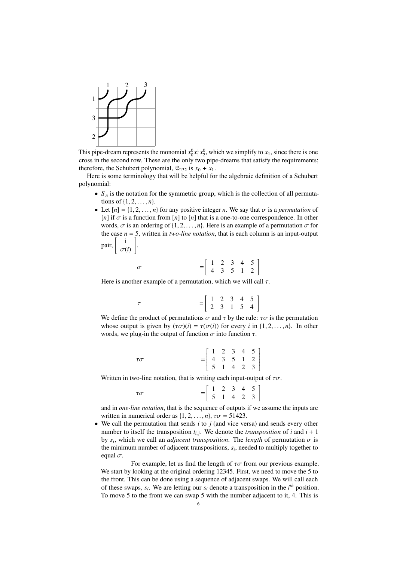

This pipe-dream represents the monomial  $x_0^0 x_1^1 x_2^0$ , which we simplify to  $x_1$ , since there is one cross in the second row. These are the only two pipe-dreams that satisfy the requirements; therefore, the Schubert polynomial,  $\mathfrak{S}_{132}$  is  $x_0 + x_1$ .

Here is some terminology that will be helpful for the algebraic definition of a Schubert polynomial:

- $S_n$  is the notation for the symmetric group, which is the collection of all permutations of  $\{1, 2, ..., n\}$ .
- Let  $[n] = \{1, 2, \ldots, n\}$  for any positive integer *n*. We say that  $\sigma$  is a *permutation* of [*n*] if  $\sigma$  is a function from [*n*] to [*n*] that is a one-to-one correspondence. In other words,  $\sigma$  is an ordering of  $\{1, 2, \ldots, n\}$ . Here is an example of a permutation  $\sigma$  for the case  $n = 5$ , written in *two-line notation*, that is each column is an input-output pair, i σ(*i*) # .

$$
\sigma = \left[ \begin{array}{rrr} 1 & 2 & 3 & 4 & 5 \\ 4 & 3 & 5 & 1 & 2 \end{array} \right]
$$

Here is another example of a permutation, which we will call  $\tau$ .

$$
\tau = \left[ \begin{array}{rrr} 1 & 2 & 3 & 4 & 5 \\ 2 & 3 & 1 & 5 & 4 \end{array} \right]
$$

We define the product of permutations  $\sigma$  and  $\tau$  by the rule:  $\tau\sigma$  is the permutation whose output is given by  $(\tau \sigma)(i) = \tau(\sigma(i))$  for every *i* in  $\{1, 2, ..., n\}$ . In other words, we plug-in the output of function  $\sigma$  into function  $\tau$ .

| $\tau\sigma$ |  |  |                                                                                                               |
|--------------|--|--|---------------------------------------------------------------------------------------------------------------|
|              |  |  | $=\left[\begin{array}{cccccc} 1 & 2 & 3 & 4 & 5 \\ 4 & 3 & 5 & 1 & 2 \\ 5 & 1 & 4 & 2 & 3 \end{array}\right]$ |

Written in two-line notation, that is writing each input-output of  $\tau\sigma$ .

| $\tau\sigma$ |  |  | $=\left[\begin{array}{cccc} 1 & 2 & 3 & 4 & 5 \\ 5 & 1 & 4 & 2 & 3 \end{array}\right]$ |  |
|--------------|--|--|----------------------------------------------------------------------------------------|--|

and in *one-line notation*, that is the sequence of outputs if we assume the inputs are written in numerical order as  $\{1, 2, \ldots, n\}$ ,  $\tau\sigma = 51423$ .

• We call the permutation that sends *i* to *j* (and vice versa) and sends every other number to itself the transposition  $t_{i,j}$ . We denote the *transposition* of *i* and  $i + 1$ <br>by a unkick we sell an adiaccut transposition. The level of permutation  $\pi$  is by  $s_i$ , which we call an *adjacent transposition*. The *length* of permutation  $\sigma$  is<br>the minimum number of adjacent transpositions, su needed to multiply together to the minimum number of adjacent transpositions, *s<sup>i</sup>* , needed to multiply together to equal  $\sigma$ .

For example, let us find the length of  $\tau\sigma$  from our previous example. We start by looking at the original ordering 12345. First, we need to move the 5 to the front. This can be done using a sequence of adjacent swaps. We will call each of these swaps,  $s_i$ . We are letting our  $s_i$  denote a transposition in the  $i^{th}$  position. To move 5 to the front we can swap 5 with the number adjacent to it, 4. This is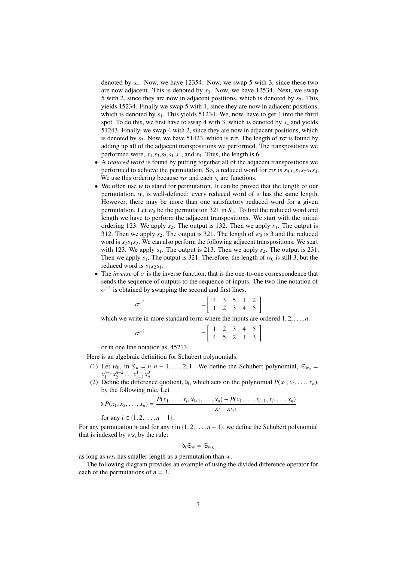denoted by *s*4. Now, we have 12354. Now, we swap 5 with 3, since these two are now adjacent. This is denoted by *s*3. Now, we have 12534. Next, we swap 5 with 2, since they are now in adjacent positions, which is denoted by  $s_2$ . This yields 15234. Finally we swap 5 with 1, since they are now in adjacent positions, which is denoted by  $s_1$ . This yields 51234. We, now, have to get 4 into the third spot. To do this, we first have to swap 4 with 3, which is denoted by *s*<sup>4</sup> and yields 51243. Finally, we swap 4 with 2, since they are now in adjacent positions, which is denoted by  $s_3$ . Now, we have 51423, which is  $\tau\sigma$ . The length of  $\tau\sigma$  is found by adding up all of the adjacent transpositions we performed. The transpositions we performed were,  $s_4$ ,  $s_3$ ,  $s_2$ ,  $s_1$ ,  $s_4$ , and  $s_3$ . Thus, the length is 6.

- A *reduced word* is found by putting together all of the adjacent transpositions we performed to achieve the permutation. So, a reduced word for  $\tau\sigma$  is  $s_3 s_4 s_1 s_2 s_3 s_4$ . We use this ordering because  $\tau\sigma$  and each  $s_i$  are functions.
- We often use *w* to stand for permutation. It can be proved that the length of our permutation, *w*, is well-defined: every reduced word of *w* has the same length. However, there may be more than one satisfactory reduced word for a given permutation. Let  $w_0$  be the permutation 321 in  $S_3$ . To find the reduced word and length we have to perform the adjacent transpositions. We start with the initial ordering 123. We apply  $s_2$ . The output is 132. Then we apply  $s_1$ . The output is 312. Then we apply  $s_2$ . The output is 321. The length of  $w_0$  is 3 and the reduced word is  $s_2 s_1 s_2$ . We can also perform the following adjacent transpositions. We start with 123. We apply  $s_1$ . The output is 213. Then we apply  $s_2$ . The output is 231. Then we apply  $s_1$ . The output is 321. Therefore, the length of  $w_0$  is still 3, but the reduced word is  $s_1 s_2 s_1$ .
- The *inverse* of  $\sigma$  is the inverse function, that is the one-to-one correspondence that sends the sequence of outputs to the sequence of inputs. The two-line notation of −1 is obtained by swapping the second and first lines.

| $\sigma^{-1}$ |  |  |                                                                                            |  |
|---------------|--|--|--------------------------------------------------------------------------------------------|--|
|               |  |  | $=\left[ \begin{array}{cccccc} 4 & 3 & 5 & 1 & 2 \\ 1 & 2 & 3 & 4 & 5 \end{array} \right]$ |  |

which we write in more standard form where the inputs are ordered  $1, 2, \ldots, n$ .

| $\sigma^{-1}$ |  |  |                                                                                        |  |
|---------------|--|--|----------------------------------------------------------------------------------------|--|
|               |  |  | $=\left[\begin{array}{cccc} 1 & 2 & 3 & 4 & 5 \\ 4 & 5 & 2 & 1 & 3 \end{array}\right]$ |  |

or in one line notation as, 45213.

Here is an algebraic definition for Schubert polynomials:

- (1) Let  $w_0$ , in  $S_n = n, n 1, \ldots, 2, 1$ . We define the Schubert polynomial,  $\mathfrak{S}_{w_0} =$  $x_1^{n-1}x_2^{n-2}\ldots x_{n-1}^1x_n^0$ .<br>Define the difference
- (2) Define the difference quotient,  $\delta_i$ , which acts on the polynomial  $P(x_1, x_2, \ldots, x_n)$ , by the following rule I et by the following rule. Let

$$
\delta_i P(x_1, x_2, \dots, x_n) = \frac{P(x_1, \dots, x_i, x_{i+1}, \dots, x_n) - P(x_1, \dots, x_{i+1}, x_i, \dots, x_n)}{x_i - x_{i+1}}
$$
  
for any  $i \in \{1, 2, \dots, n-1\}.$ 

For any permutation *w* and for any *i* in  $\{1, 2, \ldots, n-1\}$ , we define the Schubert polynomial that is indexed by  $ws_i$  by the rule:

$$
\mathfrak{d}_i \mathfrak{S}_w = \mathfrak{S}_{ws_i}
$$

as long as *ws<sup>i</sup>* has smaller length as a permutation than *w*.

The following diagram provides an example of using the divided difference operator for each of the permutations of  $n = 3$ .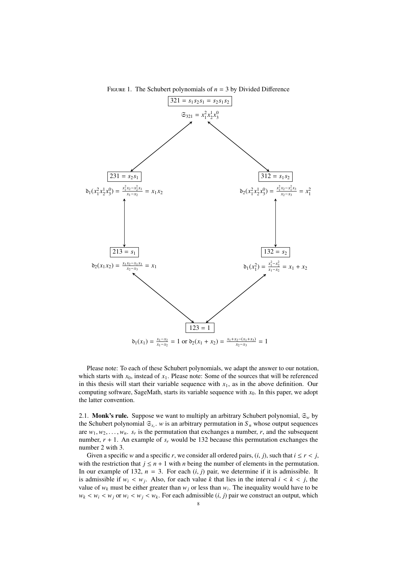

FIGURE 1. The Schubert polynomials of  $n = 3$  by Divided Difference

Please note: To each of these Schubert polynomials, we adapt the answer to our notation, which starts with  $x_0$ , instead of  $x_1$ . Please note: Some of the sources that will be referenced in this thesis will start their variable sequence with  $x_1$ , as in the above definition. Our computing software, SageMath, starts its variable sequence with *x*0. In this paper, we adopt the latter convention.

2.1. **Monk's rule.** Suppose we want to multiply an arbitrary Schubert polynomial,  $\mathfrak{S}_w$  by the Schubert polynomial  $\mathfrak{S}_{s_r}$ . *w* is an arbitrary permutation in  $S_n$  whose output sequences are  $w_1, w_2, \ldots, w_n$ .  $s_r$  is the permutation that exchanges a number, *r*, and the subsequent<br>number  $r + 1$ . An example of *s*, would be 132 because this permutation exchanges the number,  $r + 1$ . An example of  $s_r$  would be 132 because this permutation exchanges the number 2 with 3.

Given a specific *w* and a specific *r*, we consider all ordered pairs,  $(i, j)$ , such that  $i \leq r < j$ , with the restriction that  $j \leq n + 1$  with *n* being the number of elements in the permutation. In our example of 132,  $n = 3$ . For each  $(i, j)$  pair, we determine if it is admissible. It is admissible if  $w_i \leq w_j$ . Also, for each value *k* that lies in the interval  $i \leq k \leq j$ , the value of  $w_i$  must be either greater than  $w_i$  or less than  $w_j$ . The inequality would have to be value of  $w_k$  must be either greater than  $w_j$  or less than  $w_i$ . The inequality would have to be  $w_k < w_i < w_j$  or  $w_i < w_j < w_k$ . For each admissible  $(i, j)$  pair we construct an output, which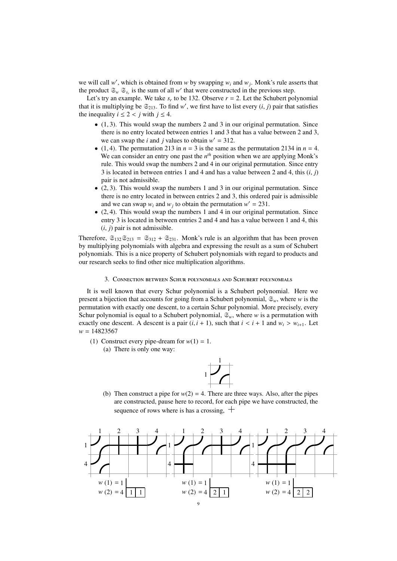we will call  $w'$ , which is obtained from  $w$  by swapping  $w_i$  and  $w_j$ . Monk's rule asserts that the product  $\mathfrak{S}_w \mathfrak{S}_{s_r}$  is the sum of all *w*' that were constructed in the previous step.

Let's try an example. We take  $s_r$  to be 132. Observe  $r = 2$ . Let the Schubert polynomial that it is multiplying be  $\mathfrak{S}_{213}$ . To find *w'*, we first have to list every  $(i, j)$  pair that satisfies the inequality  $i < 2 < i$  with  $i < 4$ the inequality  $i \leq 2 < j$  with  $j \leq 4$ .

- $\bullet$  (1, 3). This would swap the numbers 2 and 3 in our original permutation. Since there is no entry located between entries 1 and 3 that has a value between 2 and 3, we can swap the *i* and *j* values to obtain  $w' = 312$ .
- (1, 4). The permutation 213 in  $n = 3$  is the same as the permutation 2134 in  $n = 4$ . We can consider an entry one past the  $n<sup>th</sup>$  position when we are applying Monk's rule. This would swap the numbers 2 and 4 in our original permutation. Since entry 3 is located in between entries 1 and 4 and has a value between 2 and 4, this (*i*, *<sup>j</sup>*) pair is not admissible.
- $\bullet$  (2, 3). This would swap the numbers 1 and 3 in our original permutation. Since there is no entry located in between entries 2 and 3, this ordered pair is admissible and we can swap  $w_i$  and  $w_j$  to obtain the permutation  $w' = 231$ .
- (2, 4). This would swap the numbers 1 and 4 in our original permutation. Since entry 3 is located in between entries 2 and 4 and has a value between 1 and 4, this  $(i, j)$  pair is not admissible.

Therefore,  $\mathfrak{S}_{132}\mathfrak{S}_{213} = \mathfrak{S}_{312} + \mathfrak{S}_{231}$ . Monk's rule is an algorithm that has been proven by multiplying polynomials with algebra and expressing the result as a sum of Schubert polynomials. This is a nice property of Schubert polynomials with regard to products and our research seeks to find other nice multiplication algorithms.

3. Connection between Schur polynomials and Schubert polynomials

It is well known that every Schur polynomial is a Schubert polynomial. Here we present a bijection that accounts for going from a Schubert polynomial,  $\mathfrak{S}_w$ , where *w* is the permutation with exactly one descent, to a certain Schur polynomial. More precisely, every Schur polynomial is equal to a Schubert polynomial,  $\mathfrak{S}_w$ , where *w* is a permutation with exactly one descent. A descent is a pair  $(i, i + 1)$ , such that  $i < i + 1$  and  $w_i > w_{i+1}$ . Let *w* = 14823567

(1) Construct every pipe-dream for  $w(1) = 1$ . (a) There is only one way:



(b) Then construct a pipe for  $w(2) = 4$ . There are three ways. Also, after the pipes are constructed, pause here to record, for each pipe we have constructed, the sequence of rows where is has a crossing,  $+$ 

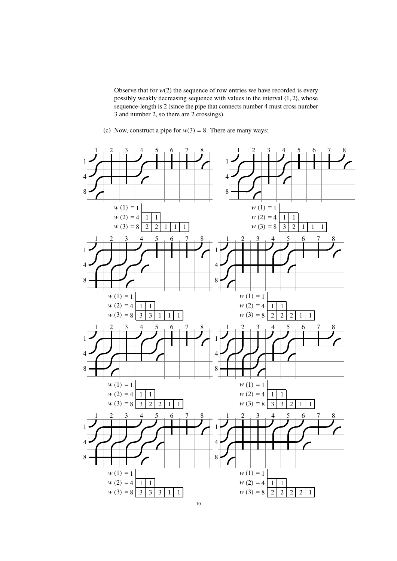Observe that for  $w(2)$  the sequence of row entries we have recorded is every possibly weakly decreasing sequence with values in the interval {1, <sup>2</sup>}, whose sequence-length is 2 (since the pipe that connects number 4 must cross number 3 and number 2, so there are 2 crossings).

(c) Now, construct a pipe for  $w(3) = 8$ . There are many ways:

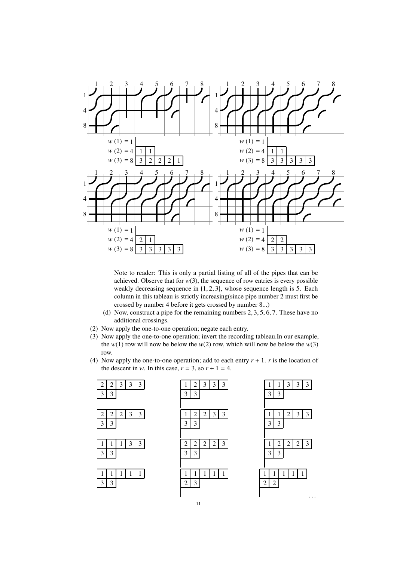

Note to reader: This is only a partial listing of all of the pipes that can be achieved. Observe that for  $w(3)$ , the sequence of row entries is every possible weakly decreasing sequence in {1, <sup>2</sup>, <sup>3</sup>}, whose sequence length is 5. Each column in this tableau is strictly increasing(since pipe number 2 must first be crossed by number 4 before it gets crossed by number 8...)

- (d) Now, construct a pipe for the remaining numbers 2, <sup>3</sup>, <sup>5</sup>, <sup>6</sup>, 7. These have no additional crossings.
- (2) Now apply the one-to-one operation; negate each entry.
- (3) Now apply the one-to-one operation; invert the recording tableau.In our example, the  $w(1)$  row will now be below the  $w(2)$  row, which will now be below the  $w(3)$ row.
- (4) Now apply the one-to-one operation; add to each entry  $r + 1$ . *r* is the location of the descent in *w*. In this case,  $r = 3$ , so  $r + 1 = 4$ .

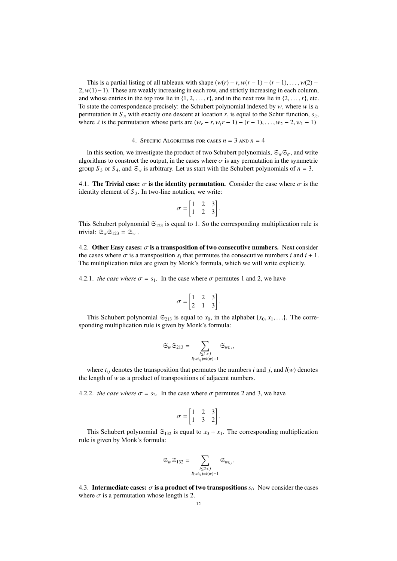This is a partial listing of all tableaux with shape  $(w(r) - r, w(r - 1) - (r - 1), \ldots, w(2) -$ 2, *w*(1)−1). These are weakly increasing in each row, and strictly increasing in each column, and whose entries in the top row lie in  $\{1, 2, \ldots, r\}$ , and in the next row lie in  $\{2, \ldots, r\}$ , etc. To state the correspondence precisely: the Schubert polynomial indexed by *w*, where *w* is a permutation in  $S_n$  with exactly one descent at location *r*, is equal to the Schur function,  $s_\lambda$ , where  $\lambda$  is the permutation whose parts are  $(w_r - r, w_(r - 1) - (r - 1), \ldots, w_2 - 2, w_1 - 1)$ 

4. SPECIFIC ALGORITHMS FOR CASES  $n = 3$  and  $n = 4$ 

In this section, we investigate the product of two Schubert polynomials,  $\mathfrak{S}_w \mathfrak{S}_{\sigma}$ , and write algorithms to construct the output, in the cases where  $\sigma$  is any permutation in the symmetric group  $S_3$  or  $S_4$ , and  $\mathfrak{S}_w$  is arbitrary. Let us start with the Schubert polynomials of  $n = 3$ .

4.1. The Trivial case:  $\sigma$  is the identity permutation. Consider the case where  $\sigma$  is the identity element of  $S_3$ . In two-line notation, we write:

$$
\sigma = \begin{bmatrix} 1 & 2 & 3 \\ 1 & 2 & 3 \end{bmatrix}.
$$

This Schubert polynomial  $\mathfrak{S}_{123}$  is equal to 1. So the corresponding multiplication rule is trivial:  $\mathfrak{S}_w \mathfrak{S}_{123} = \mathfrak{S}_w$ .

4.2. Other Easy cases:  $\sigma$  is a transposition of two consecutive numbers. Next consider the cases where  $\sigma$  is a transposition  $s_i$  that permutes the consecutive numbers *i* and  $i + 1$ .<br>The multiplication rules are given by Monk's formula, which we will write explicitly The multiplication rules are given by Monk's formula, which we will write explicitly.

4.2.1. *the case where*  $\sigma = s_1$ . In the case where  $\sigma$  permutes 1 and 2, we have

$$
\sigma = \begin{bmatrix} 1 & 2 & 3 \\ 2 & 1 & 3 \end{bmatrix}.
$$

This Schubert polynomial  $\mathfrak{S}_{213}$  is equal to  $x_0$ , in the alphabet { $x_0, x_1, \ldots$ }. The corresponding multiplication rule is given by Monk's formula:

$$
\mathfrak{S}_w \mathfrak{S}_{213} = \sum_{\substack{i \leq 1 < j \\ l(w t_{ij}) = l(w) + 1}} \mathfrak{S}_{w t_{ij}},
$$

where  $t_{ij}$  denotes the transposition that permutes the numbers *i* and *j*, and  $l(w)$  denotes the length of *w* as a product of transpositions of adjacent numbers.

4.2.2. *the case where*  $\sigma = s_2$ . In the case where  $\sigma$  permutes 2 and 3, we have

$$
\sigma = \begin{bmatrix} 1 & 2 & 3 \\ 1 & 3 & 2 \end{bmatrix}.
$$

This Schubert polynomial  $\mathfrak{S}_{132}$  is equal to  $x_0 + x_1$ . The corresponding multiplication rule is given by Monk's formula:

$$
\mathfrak{S}_w \mathfrak{S}_{132} = \sum_{\substack{i \leq 2 < j \\ l(w t_{ij}) = l(w) + 1}} \mathfrak{S}_{w t_{ij}}.
$$

4.3. **Intermediate cases:**  $\sigma$  **is a product of two transpositions**  $s_i$ . Now consider the cases where  $\sigma$  is a permutation whose length is 2 where  $\sigma$  is a permutation whose length is 2.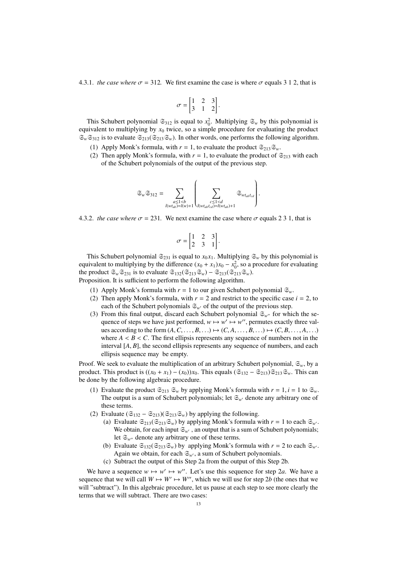4.3.1. *the case where*  $\sigma = 312$ . We first examine the case is where  $\sigma$  equals 3 1 2, that is

$$
\sigma = \begin{bmatrix} 1 & 2 & 3 \\ 3 & 1 & 2 \end{bmatrix}.
$$

This Schubert polynomial  $\mathfrak{S}_{312}$  is equal to  $x_0^2$ . Multiplying  $\mathfrak{S}_w$  by this polynomial is equivalent to multiplying by  $x_0$  twice, so a simple procedure for evaluating the product  $\mathfrak{S}_w \mathfrak{S}_{312}$  is to evaluate  $\mathfrak{S}_{213}(\mathfrak{S}_{213}\mathfrak{S}_w)$ . In other words, one performs the following algorithm.

- (1) Apply Monk's formula, with  $r = 1$ , to evaluate the product  $\mathfrak{S}_{213}\mathfrak{S}_{w}$ .
- (2) Then apply Monk's formula, with  $r = 1$ , to evaluate the product of  $\mathfrak{S}_{213}$  with each of the Schubert polynomials of the output of the previous step.

$$
\mathfrak{S}_w\mathfrak{S}_{312}=\sum_{\substack{a\leq 1
$$

4.3.2. *the case where*  $\sigma = 231$ . We next examine the case where  $\sigma$  equals 2 3 1, that is

$$
\sigma = \begin{bmatrix} 1 & 2 & 3 \\ 2 & 3 & 1 \end{bmatrix}.
$$

This Schubert polynomial  $\mathfrak{S}_{231}$  is equal to  $x_0 x_1$ . Multiplying  $\mathfrak{S}_w$  by this polynomial is equivalent to multiplying by the difference  $(x_0 + x_1)x_0 - x_0^2$ , so a procedure for evaluating the product  $\mathfrak{S}_w \mathfrak{S}_{231}$  is to evaluate  $\mathfrak{S}_{132}(\mathfrak{S}_{213}\mathfrak{S}_w) - \mathfrak{S}_{213}(\mathfrak{S}_{213}\mathfrak{S}_w)$ . Proposition. It is sufficient to perform the following algorithm.

- (1) Apply Monk's formula with  $r = 1$  to our given Schubert polynomial  $\mathfrak{S}_{w}$ .
- (2) Then apply Monk's formula, with  $r = 2$  and restrict to the specific case  $i = 2$ , to
- each of the Schubert polynomials  $\mathfrak{S}_{w}$  of the output of the previous step.
- (3) From this final output, discard each Schubert polynomial  $\mathfrak{S}_{w''}$  for which the sequence of steps we have just performed,  $w \mapsto w' \mapsto w''$ , permutes exactly three values according to the form  $(A, C, \ldots, B, \ldots) \mapsto (C, A, \ldots, B, \ldots) \mapsto (C, B, \ldots, A, \ldots)$ where  $A < B < C$ . The first ellipsis represents any sequence of numbers not in the interval [*A*, *B*], the second ellipsis represents any sequence of numbers, and each ellipsis sequence may be empty.

Proof. We seek to evaluate the multiplication of an arbitrary Schubert polynomial,  $\mathfrak{S}_w$ , by a product. This product is  $((x_0 + x_1) - (x_0))x_0$ . This equals  $(\mathfrak{S}_{132} - \mathfrak{S}_{213})\mathfrak{S}_{213}\mathfrak{S}_{w}$ . This can be done by the following algebraic procedure.

- (1) Evaluate the product  $\mathfrak{S}_{213}$   $\mathfrak{S}_w$  by applying Monk's formula with  $r = 1$ ,  $i = 1$  to  $\mathfrak{S}_w$ . The output is a sum of Schubert polynomials; let  $\mathfrak{S}_{w'}$  denote any arbitrary one of these terms.
- (2) Evaluate  $(\mathfrak{S}_{132} \mathfrak{S}_{213})(\mathfrak{S}_{213}\mathfrak{S}_{w})$  by applying the following.
	- (a) Evaluate  $\mathfrak{S}_{213}(\mathfrak{S}_{213}\mathfrak{S}_w)$  by applying Monk's formula with  $r = 1$  to each  $\mathfrak{S}_{w'}$ . We obtain, for each input  $\mathfrak{S}_{w'}$ , an output that is a sum of Schubert polynomials; let  $\mathfrak{S}_{w''}$  denote any arbitrary one of these terms.
	- (b) Evaluate  $\mathfrak{S}_{132}(\mathfrak{S}_{213}\mathfrak{S}_w)$  by applying Monk's formula with  $r = 2$  to each  $\mathfrak{S}_{w'}$ . Again we obtain, for each  $\mathfrak{S}_{w}$ , a sum of Schubert polynomials.
	- (c) Subtract the output of this Step 2a from the output of this Step 2b.

We have a sequence  $w \mapsto w' \mapsto w''$ . Let's use this sequence for step 2*a*. We have a sequence that we will call  $W \mapsto W' \mapsto W''$ , which we will use for step 2*b* (the ones that we will "subtract"). In this algebraic procedure, let us pause at each step to see more clearly the terms that we will subtract. There are two cases: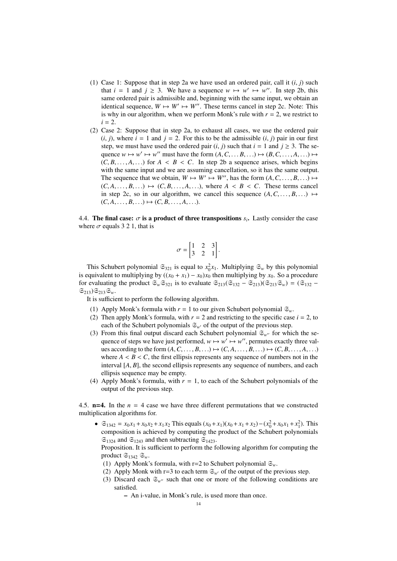- (1) Case 1: Suppose that in step 2a we have used an ordered pair, call it (*i*, *<sup>j</sup>*) such that  $i = 1$  and  $j \ge 3$ . We have a sequence  $w \mapsto w' \mapsto w''$ . In step 2b, this same ordered pair is admissible and, beginning with the same input, we obtain an identical sequence,  $W \mapsto W' \mapsto W''$ . These terms cancel in step 2c. Note: This is why in our algorithm, when we perform Monk's rule with  $r = 2$ , we restrict to  $i = 2$ .
- (2) Case 2: Suppose that in step 2a, to exhaust all cases, we use the ordered pair  $(i, j)$ , where  $i = 1$  and  $j = 2$ . For this to be the admissible  $(i, j)$  pair in our first step, we must have used the ordered pair  $(i, j)$  such that  $i = 1$  and  $j \ge 3$ . The sequence  $w \mapsto w' \mapsto w''$  must have the form  $(A, C, \ldots, B, \ldots) \mapsto (B, C, \ldots, A, \ldots) \mapsto$ <br>  $(C, B, \ldots, A, \ldots)$  for  $A \neq B \neq C$ . In step 2b a sequence arises, which begins  $(C, B, \ldots, A, \ldots)$  for  $A \leq B \leq C$ . In step 2b a sequence arises, which begins with the same input and we are assuming cancellation, so it has the same output. The sequence that we obtain,  $W \mapsto W' \mapsto W''$ , has the form  $(A, C, \ldots, B, \ldots) \mapsto$ <br> $(C_A \cap B) \mapsto (C_B \cap A)$ , where  $A \leq B \leq C$ . These terms cancel  $(C, A, \ldots, B, \ldots) \mapsto (C, B, \ldots, A, \ldots)$ , where  $A \leq B \leq C$ . These terms cancel in step 2c, so in our algorithm, we cancel this sequence  $(A, C, \ldots, B, \ldots) \mapsto$  $(C, A, \ldots, B, \ldots) \mapsto (C, B, \ldots, A, \ldots).$

4.4. The final case:  $\sigma$  is a product of three transpositions  $s_i$ . Lastly consider the case<br>where  $\sigma$  equals 3.2.1, that is where  $\sigma$  equals 3 2 1, that is

$$
\sigma = \begin{bmatrix} 1 & 2 & 3 \\ 3 & 2 & 1 \end{bmatrix}.
$$

This Schubert polynomial  $\mathfrak{S}_{321}$  is equal to  $x_0^2 x_1$ . Multiplying  $\mathfrak{S}_w$  by this polynomial is equivalent to multiplying by  $((x_0 + x_1) - x_0)x_0$  then multiplying by  $x_0$ . So a procedure for evaluating the product  $\mathfrak{S}_{w}\mathfrak{S}_{321}$  is to evaluate  $\mathfrak{S}_{213}(\mathfrak{S}_{132} - \mathfrak{S}_{213})(\mathfrak{S}_{213}\mathfrak{S}_{w}) = (\mathfrak{S}_{132} - \mathfrak{S}_{213})(\mathfrak{S}_{213}\mathfrak{S}_{w})$  $\mathfrak{S}_{213}\mathfrak{S}_{213}\mathfrak{S}_w$ .

It is sufficient to perform the following algorithm.

- (1) Apply Monk's formula with  $r = 1$  to our given Schubert polynomial  $\mathfrak{S}_{w}$ .
- (2) Then apply Monk's formula, with  $r = 2$  and restricting to the specific case  $i = 2$ , to each of the Schubert polynomials  $\mathfrak{S}_{w}$  of the output of the previous step.
- (3) From this final output discard each Schubert polynomial  $\mathfrak{S}_{w''}$  for which the sequence of steps we have just performed,  $w \mapsto w' \mapsto w''$ , permutes exactly three values according to the form  $(A, C, \ldots, B, \ldots) \mapsto (C, A, \ldots, B, \ldots) \mapsto (C, B, \ldots, A, \ldots)$ where  $A \leq B \leq C$ , the first ellipsis represents any sequence of numbers not in the interval [*A*, *B*], the second ellipsis represents any sequence of numbers, and each ellipsis sequence may be empty.
- (4) Apply Monk's formula, with  $r = 1$ , to each of the Schubert polynomials of the output of the previous step.

4.5.  $n=4$ . In the  $n=4$  case we have three different permutations that we constructed multiplication algorithms for.

 $\bullet$   $\mathfrak{S}_{1342} = x_0 x_1 + x_0 x_2 + x_1 x_2$  This equals  $(x_0 + x_1)(x_0 + x_1 + x_2) - (x_0^2 + x_0 x_1 + x_1^2)$ . This composition is achieved by computing the product of the Schubert polynomials  $\mathfrak{S}_{1324}$  and  $\mathfrak{S}_{1243}$  and then subtracting  $\mathfrak{S}_{1423}$ .

Proposition. It is sufficient to perform the following algorithm for computing the product  $\mathfrak{S}_{1342}$   $\mathfrak{S}_{w}$ .

- (1) Apply Monk's formula, with  $r=2$  to Schubert polynomial  $\mathfrak{S}_{w}$ .
- (2) Apply Monk with r=3 to each term  $\mathfrak{S}_{w}$  of the output of the previous step.
- (3) Discard each  $\mathfrak{S}_{w''}$  such that one or more of the following conditions are satisfied.
	- An i-value, in Monk's rule, is used more than once.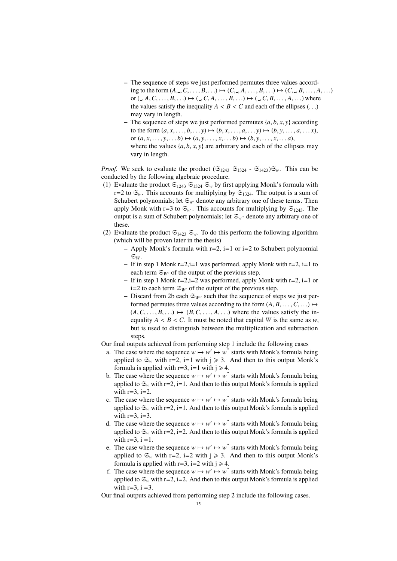- The sequence of steps we just performed permutes three values according to the form  $(A_-, C, \ldots, B, \ldots) \mapsto (C_-, A, \ldots, B, \ldots) \mapsto (C_-, B, \ldots, A, \ldots)$ or  $(0, A, C, \ldots, B, \ldots) \mapsto (0, C, A, \ldots, B, \ldots) \mapsto (0, C, B, \ldots, A, \ldots)$  where the values satisfy the inequality  $A < B < C$  and each of the ellipses  $(\ldots)$ may vary in length.
- The sequence of steps we just performed permutes  $\{a, b, x, y\}$  according to the form  $(a, x, ..., b, ...) \mapsto (b, x, ..., a, ...) \mapsto (b, y, ..., a, ... x)$ , or  $(a, x, \ldots, y, \ldots, b) \mapsto (a, y, \ldots, x, \ldots, b) \mapsto (b, y, \ldots, x, \ldots, a)$ , where the values  $\{a, b, x, y\}$  are arbitrary and each of the ellipses may vary in length.

*Proof.* We seek to evaluate the product  $(\mathfrak{S}_{1243} \mathfrak{S}_{1324} - \mathfrak{S}_{1423})\mathfrak{S}_{w}$ . This can be conducted by the following algebraic procedure.

- (1) Evaluate the product  $\mathfrak{S}_{1243}$   $\mathfrak{S}_{1324}$   $\mathfrak{S}_{w}$  by first applying Monk's formula with r=2 to  $\mathfrak{S}_w$ . This accounts for multiplying by  $\mathfrak{S}_{1324}$ . The output is a sum of Schubert polynomials; let  $\mathfrak{S}_{w}$  denote any arbitrary one of these terms. Then apply Monk with r=3 to  $\mathfrak{S}_{w'}$ . This accounts for multiplying by  $\mathfrak{S}_{1243}$ . The output is a sum of Schubert polynomials; let  $\mathfrak{S}_{w''}$  denote any arbitrary one of these.
- (2) Evaluate the product  $\mathfrak{S}_{1423}$   $\mathfrak{S}_{w}$ . To do this perform the following algorithm (which will be proven later in the thesis)
	- Apply Monk's formula with  $r=2$ ,  $i=1$  or  $i=2$  to Schubert polynomial  $\mathfrak{S}_W.$
	- If in step 1 Monk  $r=2$ ,  $i=1$  was performed, apply Monk with  $r=2$ ,  $i=1$  to each term  $\mathfrak{S}_{W}$  of the output of the previous step.
	- If in step 1 Monk  $r=2$ ,  $i=2$  was performed, apply Monk with  $r=2$ ,  $i=1$  or i=2 to each term  $\mathfrak{S}_{W}$  of the output of the previous step.
	- Discard from 2b each  $\mathfrak{S}_{W''}$  such that the sequence of steps we just performed permutes three values according to the form  $(A, B, \ldots, C, \ldots) \mapsto$  $(A, C, \ldots, B, \ldots) \mapsto (B, C, \ldots, A, \ldots)$  where the values satisfy the inequality  $A \leq B \leq C$ . It must be noted that capital *W* is the same as *w*, but is used to distinguish between the multiplication and subtraction steps.
- Our final outputs achieved from performing step 1 include the following cases
	- a. The case where the sequence  $w \mapsto w' \mapsto w''$  starts with Monk's formula being applied to  $\mathfrak{S}_w$  with r=2, i=1 with j  $\geq$  3. And then to this output Monk's formula is applied with  $r=3$ , i=1 with  $j \ge 4$ .
	- b. The case where the sequence  $w \mapsto w' \mapsto w''$  starts with Monk's formula being applied to  $\mathfrak{S}_w$  with r=2, i=1. And then to this output Monk's formula is applied with  $r=3$ ,  $i=2$ .
	- c. The case where the sequence  $w \mapsto w' \mapsto w''$  starts with Monk's formula being applied to  $\mathfrak{S}_w$  with r=2, i=1. And then to this output Monk's formula is applied with  $r=3$ ,  $i=3$ .
	- d. The case where the sequence  $w \mapsto w' \mapsto w''$  starts with Monk's formula being applied to  $\mathfrak{S}_w$  with r=2, i=2. And then to this output Monk's formula is applied with  $r=3$ ,  $i=1$ .
	- e. The case where the sequence  $w \mapsto w' \mapsto w''$  starts with Monk's formula being applied to  $\mathfrak{S}_w$  with r=2, i=2 with j  $\geq 3$ . And then to this output Monk's formula is applied with  $r=3$ ,  $i=2$  with  $i \ge 4$ .
	- f. The case where the sequence  $w \mapsto w' \mapsto w''$  starts with Monk's formula being applied to  $\mathfrak{S}_w$  with r=2, i=2. And then to this output Monk's formula is applied with  $r=3$ ,  $i=3$ .

Our final outputs achieved from performing step 2 include the following cases.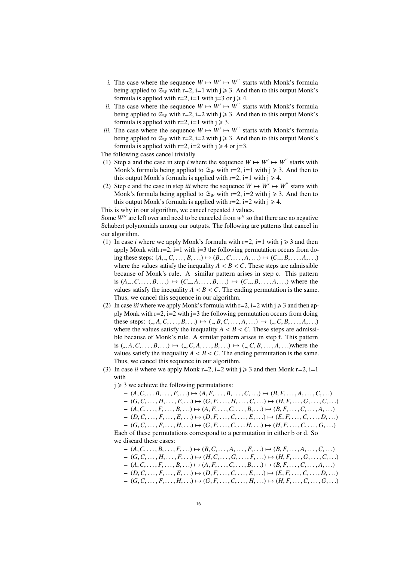- *i*. The case where the sequence  $W \mapsto W' \mapsto W''$  starts with Monk's formula being applied to  $\mathfrak{S}_W$  with  $r=2$ ,  $i=1$  with  $j \ge 3$ . And then to this output Monk's formula is applied with  $r=2$ ,  $i=1$  with  $j=3$  or  $j \ge 4$ .
- *ii.* The case where the sequence  $W \mapsto W' \mapsto W''$  starts with Monk's formula being applied to  $\mathfrak{S}_W$  with r=2, i=2 with j  $\geq$  3. And then to this output Monk's formula is applied with  $r=2$ ,  $i=1$  with  $j \ge 3$ .
- *iii.* The case where the sequence  $W \mapsto W' \mapsto W''$  starts with Monk's formula being applied to  $\mathfrak{S}_W$  with r=2, i=2 with j  $\geq$  3. And then to this output Monk's formula is applied with  $r=2$ ,  $i=2$  with  $j \ge 4$  or  $j=3$ .
- The following cases cancel trivially
- (1) Step a and the case in step *i* where the sequence  $W \mapsto W' \mapsto W''$  starts with Monk's formula being applied to  $\mathfrak{S}_W$  with r=2, i=1 with j  $\geq 3$ . And then to this output Monk's formula is applied with  $r=2$ ,  $i=1$  with  $j \ge 4$ .
- (2) Step e and the case in step *iii* where the sequence  $W \mapsto W' \mapsto W''$  starts with Monk's formula being applied to  $\mathfrak{S}_W$  with r=2, i=2 with j  $\geq 3$ . And then to this output Monk's formula is applied with  $r=2$ ,  $i=2$  with  $j \ge 4$ .

This is why in our algorithm, we cancel repeated *i* values.

Some W" are left over and need to be canceled from w" so that there are no negative Schubert polynomials among our outputs. The following are patterns that cancel in our algorithm.

- (1) In case *i* where we apply Monk's formula with  $r=2$ ,  $i=1$  with  $j \ge 3$  and then apply Monk with  $r=2$ ,  $i=1$  with  $j=3$  the following permutation occurs from doing these steps:  $(A_1, C_1, \ldots, B_n, \ldots) \mapsto (B_1, C_1, \ldots, A_n, \ldots) \mapsto (C_1, B_1, \ldots, A_n, \ldots)$ where the values satisfy the inequality  $A < B < C$ . These steps are admissible because of Monk's rule. A similar pattern arises in step c. This pattern is  $(A_1, C_1, \ldots, B_n, \ldots) \mapsto (C_1, A_1, \ldots, B_n, \ldots) \mapsto (C_1, B_1, \ldots, A_n, \ldots)$  where the values satisfy the inequality  $A < B < C$ . The ending permutation is the same. Thus, we cancel this sequence in our algorithm.
- (2) In case *iii* where we apply Monk's formula with  $r=2$ ,  $i=2$  with  $j \ge 3$  and then apply Monk with  $r=2$ ,  $i=2$  with  $j=3$  the following permutation occurs from doing these steps:  $(0, A, C, \ldots, B, \ldots) \mapsto (0, B, C, \ldots, A, \ldots) \mapsto (0, C, B, \ldots, A, \ldots)$ where the values satisfy the inequality  $A < B < C$ . These steps are admissible because of Monk's rule. A similar pattern arises in step f. This pattern is  $(0, A, C, \ldots, B, \ldots) \mapsto (0, C, A, \ldots, B, \ldots) \mapsto (0, C, B, \ldots, A, \ldots)$  where the values satisfy the inequality  $A < B < C$ . The ending permutation is the same. Thus, we cancel this sequence in our algorithm.
- (3) In case *ii* where we apply Monk  $r=2$ ,  $i=2$  with  $j \ge 3$  and then Monk  $r=2$ ,  $i=1$ with

 $i \geq 3$  we achieve the following permutations:

- $-(A, C, \ldots, B, \ldots, F, \ldots) \mapsto (A, F, \ldots, B, \ldots, C, \ldots) \mapsto (B, F, \ldots, A, \ldots, C, \ldots)$
- $-(G, C, \ldots, H, \ldots, F, \ldots) \mapsto (G, F, \ldots, H, \ldots, C, \ldots) \mapsto (H, F, \ldots, G, \ldots, C, \ldots)$
- $-(A, C, \ldots, F, \ldots, B, \ldots) \mapsto (A, F, \ldots, C, \ldots, B, \ldots) \mapsto (B, F, \ldots, C, \ldots, A, \ldots)$
- $-(D, C, \ldots, F, \ldots, E, \ldots) \mapsto (D, F, \ldots, C, \ldots, E, \ldots) \mapsto (E, F, \ldots, C, \ldots, D, \ldots)$

 $-$  (*G*, *C*, . . . , *F*, . . . , *H*, . . .) → (*G*, *F*, . . . , *C*, . . . *H*, . . .) → (*H*, *F*, . . . , *C*, . . . , *G*, . . .) Each of these permutations correspond to a permutation in either b or d. So

we discard these cases:

 $-(A, C, \ldots, B, \ldots, F, \ldots) \mapsto (B, C, \ldots, A, \ldots, F, \ldots) \mapsto (B, F, \ldots, A, \ldots, C, \ldots)$  $-(G, C, \ldots, H, \ldots, F, \ldots) \mapsto (H, C, \ldots, G, \ldots, F, \ldots) \mapsto (H, F, \ldots, G, \ldots, C, \ldots)$  $-(A, C, \ldots, F, \ldots, B, \ldots) \mapsto (A, F, \ldots, C, \ldots, B, \ldots) \mapsto (B, F, \ldots, C, \ldots, A, \ldots)$  $-(D, C, \ldots, F, \ldots, E, \ldots) \mapsto (D, F, \ldots, C, \ldots, E, \ldots) \mapsto (E, F, \ldots, C, \ldots, D, \ldots)$  $-(G, C, \ldots, F, \ldots, H, \ldots) \mapsto (G, F, \ldots, C, \ldots, H, \ldots) \mapsto (H, F, \ldots, C, \ldots, G, \ldots)$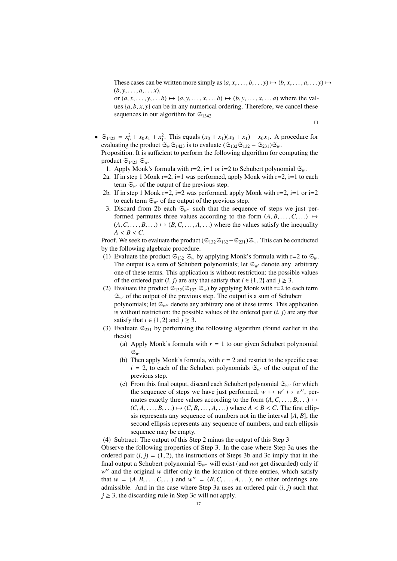These cases can be written more simply as  $(a, x, \ldots, b, \ldots, y) \mapsto (b, x, \ldots, a, \ldots, y) \mapsto$  $(b, y, \ldots, a, \ldots, x),$ 

or  $(a, x, \ldots, y, \ldots, b) \mapsto (a, y, \ldots, x, \ldots, b) \mapsto (b, y, \ldots, x, \ldots, a)$  where the values  $\{a, b, x, y\}$  can be in any numerical ordering. Therefore, we cancel these sequences in our algorithm for  $\mathfrak{S}_{1342}$ 

 $\Box$ 

 $\bullet$  ∈<sub>1423</sub> =  $x_0^2 + x_0 x_1 + x_1^2$ . This equals  $(x_0 + x_1)(x_0 + x_1) - x_0 x_1$ . A procedure for evaluating the product  $\mathfrak{S}_w \mathfrak{S}_{1423}$  is to evaluate  $(\mathfrak{S}_{132} \mathfrak{S}_{132} - \mathfrak{S}_{231}) \mathfrak{S}_w$ .

Proposition. It is sufficient to perform the following algorithm for computing the product  $\mathfrak{S}_{1423}$   $\mathfrak{S}_{w}$ .

- 1. Apply Monk's formula with  $r=2$ ,  $i=1$  or  $i=2$  to Schubert polynomial  $\mathfrak{S}_{w}$ .
- 2a. If in step 1 Monk  $r=2$ ,  $i=1$  was performed, apply Monk with  $r=2$ ,  $i=1$  to each term  $\mathfrak{S}_{w'}$  of the output of the previous step.
- 2b. If in step 1 Monk  $r=2$ ,  $i=2$  was performed, apply Monk with  $r=2$ ,  $i=1$  or  $i=2$ to each term  $\mathfrak{S}_{w'}$  of the output of the previous step.
- 3. Discard from 2b each  $\mathfrak{S}_{w''}$  such that the sequence of steps we just performed permutes three values according to the form  $(A, B, \ldots, C, \ldots) \mapsto$  $(A, C, \ldots, B, \ldots) \mapsto (B, C, \ldots, A, \ldots)$  where the values satisfy the inequality  $A < B < C$ .

Proof. We seek to evaluate the product ( $\mathfrak{S}_{132}\mathfrak{S}_{132}-\mathfrak{S}_{231}\mathfrak{S}_{w}$ . This can be conducted by the following algebraic procedure.

- (1) Evaluate the product  $\mathfrak{S}_{132}$   $\mathfrak{S}_w$  by applying Monk's formula with r=2 to  $\mathfrak{S}_w$ . The output is a sum of Schubert polynomials; let  $\mathfrak{S}_{w}$  denote any arbitrary one of these terms. This application is without restriction: the possible values of the ordered pair  $(i, j)$  are any that satisfy that  $i \in \{1, 2\}$  and  $j \ge 3$ .
- (2) Evaluate the product  $\mathfrak{S}_{132}(\mathfrak{S}_{132} \mathfrak{S}_{w})$  by applying Monk with r=2 to each term  $\mathfrak{S}_{w'}$  of the output of the previous step. The output is a sum of Schubert polynomials; let  $\mathfrak{S}_{w''}$  denote any arbitrary one of these terms. This application is without restriction: the possible values of the ordered pair  $(i, j)$  are any that satisfy that  $i \in \{1, 2\}$  and  $j \geq 3$ .
- (3) Evaluate  $\mathfrak{S}_{231}$  by performing the following algorithm (found earlier in the thesis)
	- (a) Apply Monk's formula with  $r = 1$  to our given Schubert polynomial S*w*.
	- (b) Then apply Monk's formula, with  $r = 2$  and restrict to the specific case  $i = 2$ , to each of the Schubert polynomials  $\mathfrak{S}_{w}$  of the output of the previous step.
	- (c) From this final output, discard each Schubert polynomial  $\mathfrak{S}_{w''}$  for which the sequence of steps we have just performed,  $w \mapsto w' \mapsto w''$ , permutes exactly three values according to the form  $(A, C, \ldots, B, \ldots) \mapsto$  $(C, A, \ldots, B, \ldots) \mapsto (C, B, \ldots, A, \ldots)$  where  $A \lt B \lt C$ . The first ellipsis represents any sequence of numbers not in the interval [*A*, *<sup>B</sup>*], the second ellipsis represents any sequence of numbers, and each ellipsis sequence may be empty.

(4) Subtract: The output of this Step 2 minus the output of this Step 3

Observe the following properties of Step 3. In the case where Step 3a uses the ordered pair  $(i, j) = (1, 2)$ , the instructions of Steps 3b and 3c imply that in the final output a Schubert polynomial  $\mathfrak{S}_{w}$ <sup>0</sup> will exist (and *not* get discarded) only if w" and the original w differ only in the location of three entries, which satisfy that  $w = (A, B, \ldots, C, \ldots)$  and  $w'' = (B, C, \ldots, A, \ldots)$ ; no other orderings are admissible. And in the case where Step 3a uses an ordered pair  $(i, j)$  such that admissible. And in the case where Step 3a uses an ordered pair (*i*, *<sup>j</sup>*) such that  $j \geq 3$ , the discarding rule in Step 3c will not apply.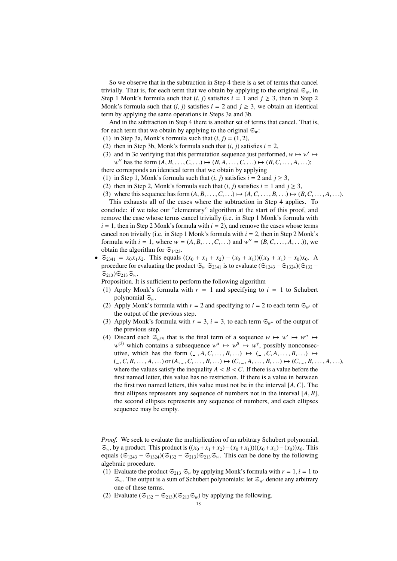So we observe that in the subtraction in Step 4 there is a set of terms that cancel trivially. That is, for each term that we obtain by applying to the original  $\mathfrak{S}_w$ , in Step 1 Monk's formula such that  $(i, j)$  satisfies  $i = 1$  and  $j \ge 3$ , then in Step 2 Monk's formula such that  $(i, j)$  satisfies  $i = 2$  and  $j \ge 3$ , we obtain an identical term by applying the same operations in Steps 3a and 3b.

And in the subtraction in Step 4 there is another set of terms that cancel. That is, for each term that we obtain by applying to the original  $\mathfrak{S}_w$ :

- (1) in Step 3a, Monk's formula such that  $(i, j) = (1, 2)$ ,
- (2) then in Step 3b, Monk's formula such that  $(i, j)$  satisfies  $i = 2$ ,
- (3) and in 3c verifying that this permutation sequence just performed,  $w \mapsto w' \mapsto$  $w''$  has the form  $(A, B, \ldots, C, \ldots) \mapsto (B, A, \ldots, C, \ldots) \mapsto (B, C, \ldots, A, \ldots);$ <br>corresponds an identical term that we obtain by applying
- there corresponds an identical term that we obtain by applying
- (1) in Step 1, Monk's formula such that  $(i, j)$  satisfies  $i = 2$  and  $j \ge 3$ ,
- (2) then in Step 2, Monk's formula such that  $(i, j)$  satisfies  $i = 1$  and  $j \ge 3$ , (3) where this sequence has form  $(A, B, \ldots, C, \ldots) \mapsto (A, C, \ldots, B, \ldots) \mapsto (B, C, \ldots, A, \ldots)$ .

This exhausts all of the cases where the subtraction in Step 4 applies. To conclude: if we take our "elementary" algorithm at the start of this proof, and remove the case whose terms cancel trivially (i.e. in Step 1 Monk's formula with  $i = 1$ , then in Step 2 Monk's formula with  $i = 2$ ), and remove the cases whose terms cancel non trivially (i.e. in Step 1 Monk's formula with  $i = 2$ , then in Step 2 Monk's formula with  $i = 1$ , where  $w = (A, B, \dots, C, \dots)$  and  $w'' = (B, C, \dots, A, \dots)$ , we obtain the algorithm for  $\mathfrak{S}_{\text{LQCD}}$ obtain the algorithm for  $\mathfrak{S}_{1423}$ .

•  $\mathfrak{S}_{2341} = x_0 x_1 x_2$ . This equals  $((x_0 + x_1 + x_2) - (x_0 + x_1))((x_0 + x_1) - x_0)x_0$ . A procedure for evaluating the product  $\mathfrak{S}_w$   $\mathfrak{S}_{2341}$  is to evaluate ( $\mathfrak{S}_{1243} - \mathfrak{S}_{1324}$ )( $\mathfrak{S}_{132} \mathfrak{S}_{213}$ ) $\mathfrak{S}_{213}$  $\mathfrak{S}_{w}$ .

Proposition. It is sufficient to perform the following algorithm

- (1) Apply Monk's formula with  $r = 1$  and specifying to  $i = 1$  to Schubert polynomial  $\mathfrak{S}_w$ .
- (2) Apply Monk's formula with  $r = 2$  and specifying to  $i = 2$  to each term  $\mathfrak{S}_{w'}$  of the output of the previous step.
- (3) Apply Monk's formula with  $r = 3$ ,  $i = 3$ , to each term  $\mathfrak{S}_{w''}$  of the output of the previous step.
- (4) Discard each  $\mathfrak{S}_{w^{(3)}}$  that is the final term of a sequence  $w \mapsto w' \mapsto w'' \mapsto$  $w^{(3)}$  which contains a subsequence  $w^{\alpha} \mapsto w^{\beta} \mapsto w^{\gamma}$ , possibly nonconsecutive, which has the form  $($ ,  $A, C, \ldots, B, \ldots)$   $\mapsto$   $($ ,  $C, A, \ldots, B, \ldots)$   $\mapsto$  $(. , C, B, ..., A, ...)$  or  $(A, -, C, ..., B, ...) \mapsto (C, -, A, ..., B, ...) \mapsto (C, -, B, ..., A, ...)$ where the values satisfy the inequality  $A < B < C$ . If there is a value before the first named letter, this value has no restriction. If there is a value in between the first two named letters, this value must not be in the interval [*A*,*C*]. The first ellipses represents any sequence of numbers not in the interval [*A*, *<sup>B</sup>*], the second ellipses represents any sequence of numbers, and each ellipses sequence may be empty.

*Proof.* We seek to evaluate the multiplication of an arbitrary Schubert polynomial,  $\mathfrak{S}_w$ , by a product. This product is  $((x_0 + x_1 + x_2) - (x_0 + x_1))((x_0 + x_1) - (x_0))x_0$ . This equals  $(\mathfrak{S}_{1243} - \mathfrak{S}_{1324})(\mathfrak{S}_{132} - \mathfrak{S}_{213})\mathfrak{S}_{213}\mathfrak{S}_{w}$ . This can be done by the following algebraic procedure.

- (1) Evaluate the product  $\mathfrak{S}_{213}$   $\mathfrak{S}_w$  by applying Monk's formula with  $r = 1$ ,  $i = 1$  to  $\mathfrak{S}_{w}$ . The output is a sum of Schubert polynomials; let  $\mathfrak{S}_{w}$  denote any arbitrary one of these terms.
- (2) Evaluate  $(\mathfrak{S}_{132} \mathfrak{S}_{213})(\mathfrak{S}_{213}\mathfrak{S}_w)$  by applying the following.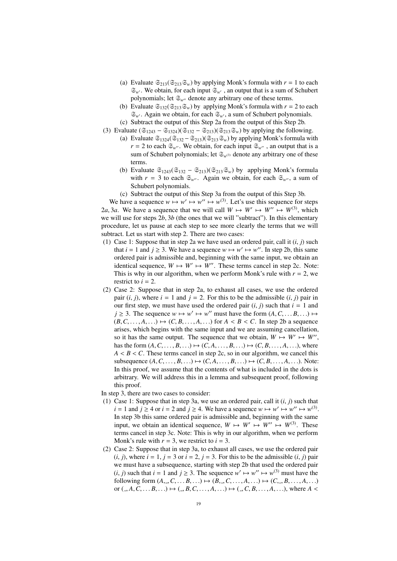- (a) Evaluate  $\mathfrak{S}_{213}(\mathfrak{S}_{213}\mathfrak{S}_w)$  by applying Monk's formula with  $r = 1$  to each  $\mathfrak{S}_{w'}$ . We obtain, for each input  $\mathfrak{S}_{w'}$ , an output that is a sum of Schubert polynomials; let  $\mathfrak{S}_{w''}$  denote any arbitrary one of these terms.
- (b) Evaluate  $\mathfrak{S}_{132}(\mathfrak{S}_{213}\mathfrak{S}_w)$  by applying Monk's formula with  $r = 2$  to each  $\mathfrak{S}_{w'}$ . Again we obtain, for each  $\mathfrak{S}_{w'}$ , a sum of Schubert polynomials.
- (c) Subtract the output of this Step 2a from the output of this Step 2b.
- (3) Evaluate  $(\mathfrak{S}_{1243} \mathfrak{S}_{1324})(\mathfrak{S}_{132} \mathfrak{S}_{213})(\mathfrak{S}_{213}\mathfrak{S}_w)$  by applying the following.
	- (a) Evaluate  $\mathfrak{S}_{1324}(\mathfrak{S}_{132}-\mathfrak{S}_{213})(\mathfrak{S}_{213}\mathfrak{S}_w)$  by applying Monk's formula with  $r = 2$  to each  $\mathfrak{S}_{w''}$ . We obtain, for each input  $\mathfrak{S}_{w''}$ , an output that is a sum of Schubert polynomials; let  $\mathfrak{S}_{w^{(3)}}$  denote any arbitrary one of these terms.
	- (b) Evaluate  $\mathfrak{S}_{1243}(\mathfrak{S}_{132} \mathfrak{S}_{213})(\mathfrak{S}_{213}\mathfrak{S}_{w})$  by applying Monk's formula with  $r = 3$  to each  $\mathfrak{S}_{w''}$ . Again we obtain, for each  $\mathfrak{S}_{w''}$ , a sum of Schubert polynomials.
	- (c) Subtract the output of this Step 3a from the output of this Step 3b.

We have a sequence  $w \mapsto w' \mapsto w'' \mapsto w^{(3)}$ . Let's use this sequence for steps 2*a*, 3*a*. We have a sequence that we will call  $W \mapsto W' \mapsto W'' \mapsto W^{(3)}$ , which we will use for steps 2*b*, 3*b* (the ones that we will "subtract"). In this elementary we will use for steps 2*b*, <sup>3</sup>*<sup>b</sup>* (the ones that we will "subtract"). In this elementary procedure, let us pause at each step to see more clearly the terms that we will subtract. Let us start with step 2. There are two cases:

- (1) Case 1: Suppose that in step 2a we have used an ordered pair, call it  $(i, j)$  such that  $i = 1$  and  $j \ge 3$ . We have a sequence  $w \mapsto w' \mapsto w''$ . In step 2b, this same ordered pair is admissible and, beginning with the same input, we obtain an identical sequence,  $W \mapsto W' \mapsto W''$ . These terms cancel in step 2c. Note: This is why in our algorithm, when we perform Monk's rule with  $r = 2$ , we restrict to  $i = 2$ .
- (2) Case 2: Suppose that in step 2a, to exhaust all cases, we use the ordered pair  $(i, j)$ , where  $i = 1$  and  $j = 2$ . For this to be the admissible  $(i, j)$  pair in our first step, we must have used the ordered pair  $(i, j)$  such that  $i = 1$  and  $j \ge 3$ . The sequence  $w \mapsto w' \mapsto w''$  must have the form  $(A, C, \dots, B, \dots) \mapsto (B, C, A, \dots) \mapsto (C, B, A, \dots)$  for  $A \ne B \le C$ . In step 2b a sequence  $(B, C, \ldots, A, \ldots) \mapsto (C, B, \ldots, A, \ldots)$  for  $A \leq B \leq C$ . In step 2b a sequence arises, which begins with the same input and we are assuming cancellation, so it has the same output. The sequence that we obtain,  $W \mapsto W' \mapsto W''$ , has the form  $(A, C, \ldots, B, \ldots) \mapsto (C, A, \ldots, B, \ldots) \mapsto (C, B, \ldots, A, \ldots)$ , where  $A < B < C$ . These terms cancel in step 2c, so in our algorithm, we cancel this subsequence  $(A, C, \ldots, B, \ldots) \mapsto (C, A, \ldots, B, \ldots) \mapsto (C, B, \ldots, A, \ldots)$ . Note: In this proof, we assume that the contents of what is included in the dots is arbitrary. We will address this in a lemma and subsequent proof, following this proof.

In step 3, there are two cases to consider:

- (1) Case 1: Suppose that in step 3a, we use an ordered pair, call it (*i*, *<sup>j</sup>*) such that  $i = 1$  and  $j \ge 4$  or  $i = 2$  and  $j \ge 4$ . We have a sequence  $w \mapsto w' \mapsto w'' \mapsto w^{(3)}$ . In step 3b this same ordered pair is admissible and, beginning with the same input, we obtain an identical sequence,  $W \mapsto W' \mapsto W'' \mapsto W^{(3)}$ . These terms cancel in step 3c. Note: This is why in our algorithm, when we perform Monk's rule with  $r = 3$ , we restrict to  $i = 3$ .
- (2) Case 2: Suppose that in step 3a, to exhaust all cases, we use the ordered pair  $(i, j)$ , where  $i = 1$ ,  $j = 3$  or  $i = 2$ ,  $j = 3$ . For this to be the admissible  $(i, j)$  pair we must have a subsequence, starting with step 2b that used the ordered pair (*i*, *j*) such that  $i = 1$  and  $j \ge 3$ . The sequence  $w' \mapsto w'' \mapsto w^{(3)}$  must have the following form  $(A \cap B) \mapsto (B \cap C \cap A) \mapsto (C \cap B \cap A)$ following form  $(A_1, C_1, \ldots, B_n, \ldots) \mapsto (B_1, C_1, \ldots, A_n, \ldots) \mapsto (C_1, B_1, \ldots, A_n, \ldots)$ or  $(0, A, C, \ldots, B, \ldots) \mapsto (0, A, C, \ldots, A, \ldots) \mapsto (0, A, C, B, \ldots, A, \ldots)$ , where  $A \leq$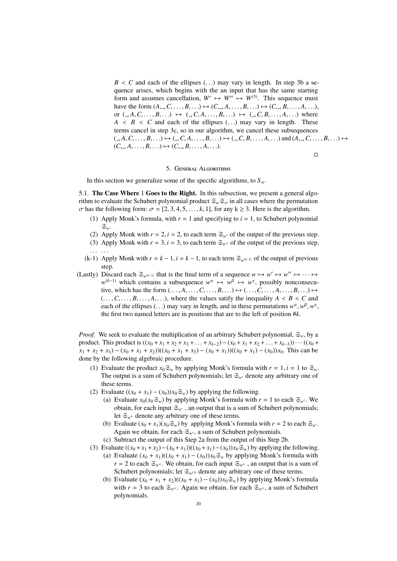$B \le C$  and each of the ellipses  $( \ldots )$  may vary in length. In step 3b a sequence arises, which begins with the an input that has the same starting form and assumes cancellation,  $W' \mapsto W'' \mapsto W^{(3)}$ . This sequence must have the form  $(A_1, C_1, \ldots, B_n, \ldots) \mapsto (C_{n-1}A_1, \ldots, B_{n-1}) \mapsto (C_{n-1}B_1, \ldots, A_n, \ldots)$ or  $(0, A, C, \ldots, B, \ldots) \mapsto (0, C, A, \ldots, B, \ldots) \mapsto (0, C, B, \ldots, A, \ldots)$  where  $A \leq B \leq C$  and each of the ellipses  $(\ldots)$  may vary in length. These terms cancel in step 3c, so in our algorithm, we cancel these subsequences  $(0, A, C, \ldots, B, \ldots) \mapsto (0, C, A, \ldots, B, \ldots) \mapsto (0, C, B, \ldots, A, \ldots)$  and  $(A, C, \ldots, B, \ldots) \mapsto (0, A, C, \ldots, B, \ldots)$  $(C, \{A}, \ldots, B, \ldots) \mapsto (C, \{B}, \ldots, A, \ldots).$ 

 $\Box$ 

## 5. General Algorithms

In this section we generalize some of the specific algorithms, to  $S_n$ .

5.1. The Case Where 1 Goes to the Right. In this subsection, we present a general algorithm to evaluate the Schubert polynomial product  $\mathfrak{S}_w \mathfrak{S}_\sigma$  in all cases where the permutation  $\sigma$  has the following form:  $\sigma = [2, 3, 4, 5, \dots, k, 1]$ , for any  $k \ge 3$ . Here is the algorithm.

- (1) Apply Monk's formula, with  $r = 1$  and specifying to  $i = 1$ , to Schubert polynomial S*w*.
- (2) Apply Monk with  $r = 2$ ,  $i = 2$ , to each term  $\mathfrak{S}_{w'}$  of the output of the previous step.
- (3) Apply Monk with  $r = 3$ ,  $i = 3$ , to each term  $\mathfrak{S}_{w''}$  of the output of the previous step.
- . . . . . .
- (k-1) Apply Monk with  $r = k 1$ ,  $i = k 1$ , to each term  $\mathfrak{S}_{w^{(k-2)}}$  of the output of previous step.
- (Lastly) Discard each  $\mathfrak{S}_{w^{(k-1)}}$  that is the final term of a sequence  $w \mapsto w' \mapsto w'' \mapsto \cdots \mapsto$  $w^{(k-1)}$  which contains a subsequence  $w^{\alpha} \mapsto w^{\beta} \mapsto w^{\gamma}$ , possibly nonconsecutive, which has the form  $(\ldots, A, \ldots, C, \ldots, B, \ldots) \mapsto (\ldots, C, \ldots, A, \ldots, B, \ldots) \mapsto$  $( \ldots, C, \ldots, B, \ldots, A, \ldots)$ , where the values satify the inequality  $A \leq B \leq C$  and each of the ellipses (...) may vary in length, and in these permutations  $w^{\alpha}, w^{\beta}, w^{\gamma}$ , the first two named letters are in positions that are to the left of position  $\#k$ the first two named letters are in positions that are to the left of position #*k*.

*Proof.* We seek to evaluate the multiplication of an arbitrary Schubert polynomial,  $\mathfrak{S}_w$ , by a product. This product is  $((x_0 + x_1 + x_2 + x_3 + \ldots + x_{k-2}) - (x_0 + x_1 + x_2 + \ldots + x_{k-3})) \cdots ((x_0 + x_1 + x_2 + \ldots + x_{k-3}))$  $x_1 + x_2 + x_3 - (x_0 + x_1 + x_2)((x_0 + x_1 + x_2) - (x_0 + x_1))((x_0 + x_1) - (x_0))x_0$ . This can be done by the following algebraic procedure.

- (1) Evaluate the product  $x_0 \mathfrak{S}_w$  by applying Monk's formula with  $r = 1$ ,  $i = 1$  to  $\mathfrak{S}_w$ . The output is a sum of Schubert polynomials; let  $\mathfrak{S}_{w'}$  denote any arbitrary one of these terms.
- (2) Evaluate  $((x_0 + x_1) (x_0))x_0 \mathfrak{S}_w$ ) by applying the following.
	- (a) Evaluate  $x_0(x_0 \mathfrak{S}_w)$  by applying Monk's formula with  $r = 1$  to each  $\mathfrak{S}_{w'}$ . We obtain, for each input  $\mathfrak{S}_{w'}$ , an output that is a sum of Schubert polynomials; let  $\mathfrak{S}_{w''}$  denote any arbitrary one of these terms.
	- (b) Evaluate  $(x_0 + x_1)(x_0 \mathfrak{S}_w)$  by applying Monk's formula with  $r = 2$  to each  $\mathfrak{S}_{w'}$ . Again we obtain, for each  $\mathfrak{S}_{w}$ , a sum of Schubert polynomials.
	- (c) Subtract the output of this Step 2a from the output of this Step 2b.
- (3) Evaluate  $((x_0 + x_1 + x_2) (x_0 + x_1))((x_0 + x_1) (x_0))x_0 \mathfrak{S}_w$ ) by applying the following.
	- (a) Evaluate  $(x_0 + x_1)((x_0 + x_1) (x_0))x_0 \mathfrak{S}_w$  by applying Monk's formula with  $r = 2$  to each  $\mathfrak{S}_{w''}$ . We obtain, for each input  $\mathfrak{S}_{w''}$ , an output that is a sum of Schubert polynomials; let  $\mathfrak{S}_{w^{(3)}}$  denote any arbitrary one of these terms.
	- (b) Evaluate  $(x_0 + x_1 + x_2)((x_0 + x_1) (x_0))x_0 \mathfrak{S}_w$ ) by applying Monk's formula with  $r = 3$  to each  $\mathfrak{S}_{w''}$ . Again we obtain, for each  $\mathfrak{S}_{w''}$ , a sum of Schubert polynomials.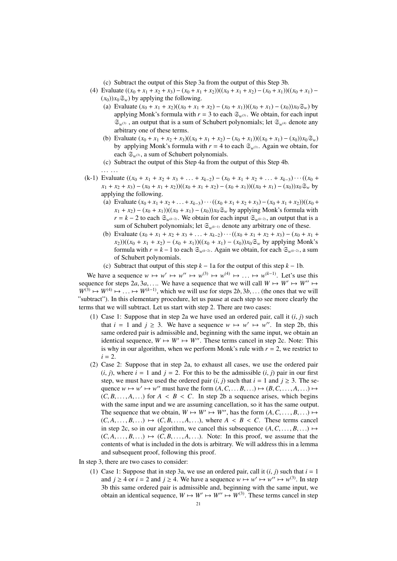(c) Subtract the output of this Step 3a from the output of this Step 3b.

- (4) Evaluate  $((x_0 + x_1 + x_2 + x_3) (x_0 + x_1 + x_2) ((x_0 + x_1 + x_2) (x_0 + x_1)) ((x_0 + x_1) (x_0)$ ) $x_0 \mathfrak{S}_w$ ) by applying the following.
	- (a) Evaluate  $(x_0 + x_1 + x_2)((x_0 + x_1 + x_2) (x_0 + x_1))((x_0 + x_1) (x_0))x_0 \mathfrak{S}_w$  by applying Monk's formula with  $r = 3$  to each  $\mathfrak{S}_{w^{(3)}}$ . We obtain, for each input  $\mathfrak{S}_{w^{(3)}}$ , an output that is a sum of Schubert polynomials; let  $\mathfrak{S}_{w^{(4)}}$  denote any arbitrary one of these terms.
	- (b) Evaluate  $(x_0 + x_1 + x_2 + x_3)((x_0 + x_1 + x_2) (x_0 + x_1))((x_0 + x_1) (x_0))x_0 \mathfrak{S}_w$ ) by applying Monk's formula with  $r = 4$  to each  $\mathfrak{S}_{w^{(3)}}$ . Again we obtain, for each  $\mathfrak{S}_{w^{(3)}}$ , a sum of Schubert polynomials.
	- (c) Subtract the output of this Step 4a from the output of this Step 4b. . . . . . .
- (k-1) Evaluate  $((x_0 + x_1 + x_2 + x_3 + \ldots + x_{k-2}) (x_0 + x_1 + x_2 + \ldots + x_{k-3}) \cdots ((x_0 + x_{k-1}) + x_{k-2})$  $x_1 + x_2 + x_3 - (x_0 + x_1 + x_2)((x_0 + x_1 + x_2) - (x_0 + x_1))((x_0 + x_1) - (x_0)x_0 \mathfrak{S}_w$  by applying the following.
	- (a) Evaluate  $(x_0 + x_1 + x_2 + ... + x_{k-3}) \cdots ((x_0 + x_1 + x_2 + x_3) (x_0 + x_1 + x_2))((x_0 + x_1 + x_2)$  $x_1 + x_2$ ) − (*x*<sub>0</sub> + *x*<sub>1</sub>))((*x*<sub>0</sub> + *x*<sub>1</sub>) − (*x*<sub>0</sub>))*x*<sub>0</sub> $\mathfrak{S}_w$  by applying Monk's formula with *r* = *k* − 2 to each  $\mathfrak{S}_{w^{(k-2)}}$ . We obtain for each input  $\mathfrak{S}_{w^{(k-2)}}$ , an output that is a sum of Schubert polynomials; let S*w*(*k*−1) denote any arbitrary one of these.
	- (b) Evaluate  $(x_0 + x_1 + x_2 + x_3 + \ldots + x_{k-2}) \cdots ((x_0 + x_1 + x_2 + x_3) (x_0 + x_1 + x_2 + x_3))$  $(x_2)((x_0 + x_1 + x_2) - (x_0 + x_1))((x_0 + x_1) - (x_0))x_0 \mathfrak{S}_w$  by applying Monk's formula with  $r = k - 1$  to each  $\mathfrak{S}_{w^{(k-2)}}$ . Again we obtain, for each  $\mathfrak{S}_{w^{(k-2)}}$ , a sum of Schubert polynomials.
	- (c) Subtract that output of this step  $k 1$ a for the output of this step  $k 1$ b.

We have a sequence  $w \mapsto w' \mapsto w'' \mapsto w^{(3)} \mapsto w^{(4)} \mapsto \dots \mapsto w^{(k-1)}$ . Let's use this user the weaken  $2a, 3a$ . We have a sequence that we will call  $W \mapsto W' \mapsto W'' \mapsto W''$ sequence for steps  $2a, 3a, \ldots$  We have a sequence that we will call  $W \mapsto W' \mapsto W'' \mapsto W^{(3)} \mapsto W^{(4)} \mapsto W^{(k-1)}$  which we will use for steps  $2b, 3b$  (the ones that we will  $W^{(3)} \mapsto W^{(4)} \mapsto \ldots \mapsto W^{(k-1)}$ , which we will use for steps  $2b, 3b, \ldots$  (the ones that we will "subtract"). In this elementary procedure, let us pause at each step to see more clearly the terms that we will subtract. Let us start with step 2. There are two cases:

- (1) Case 1: Suppose that in step 2a we have used an ordered pair, call it  $(i, j)$  such that  $i = 1$  and  $j \ge 3$ . We have a sequence  $w \mapsto w' \mapsto w''$ . In step 2b, this same ordered pair is admissible and, beginning with the same input, we obtain an identical sequence,  $W \mapsto W' \mapsto W''$ . These terms cancel in step 2c. Note: This is why in our algorithm, when we perform Monk's rule with  $r = 2$ , we restrict to  $i = 2$ .
- (2) Case 2: Suppose that in step 2a, to exhaust all cases, we use the ordered pair  $(i, j)$ , where  $i = 1$  and  $j = 2$ . For this to be the admissible  $(i, j)$  pair in our first step, we must have used the ordered pair  $(i, j)$  such that  $i = 1$  and  $j \ge 3$ . The sequence  $w \mapsto w' \mapsto w''$  must have the form  $(A, C, \ldots, B, \ldots) \mapsto (B, C, \ldots, A, \ldots) \mapsto$ <br>  $(C, B, \ldots, A, \ldots)$  for  $A \neq B \neq C$ . In step 2b a sequence arises, which begins  $(C, B, \ldots, A, \ldots)$  for  $A \leq B \leq C$ . In step 2b a sequence arises, which begins with the same input and we are assuming cancellation, so it has the same output. The sequence that we obtain, *W* 7→ *W*<sup>0</sup> 7→ *<sup>W</sup>*<sup>00</sup>, has the form (*A*,*C*, . . . , *<sup>B</sup>*, . . .) 7→  $(C, A, \ldots, B, \ldots) \mapsto (C, B, \ldots, A, \ldots)$ , where  $A \leq B \leq C$ . These terms cancel in step 2c, so in our algorithm, we cancel this subsequence  $(A, C, \ldots, B, \ldots) \mapsto$  $(C, A, \ldots, B, \ldots) \mapsto (C, B, \ldots, A, \ldots)$ . Note: In this proof, we assume that the contents of what is included in the dots is arbitrary. We will address this in a lemma and subsequent proof, following this proof.
- In step 3, there are two cases to consider:
	- (1) Case 1: Suppose that in step 3a, we use an ordered pair, call it  $(i, j)$  such that  $i = 1$ and  $j \ge 4$  or  $i = 2$  and  $j \ge 4$ . We have a sequence  $w \mapsto w' \mapsto w'' \mapsto w^{(3)}$ . In step 3b this same ordered pair is admissible and, beginning with the same input, we obtain an identical sequence,  $W \mapsto W' \mapsto W'' \mapsto W^{(3)}$ . These terms cancel in step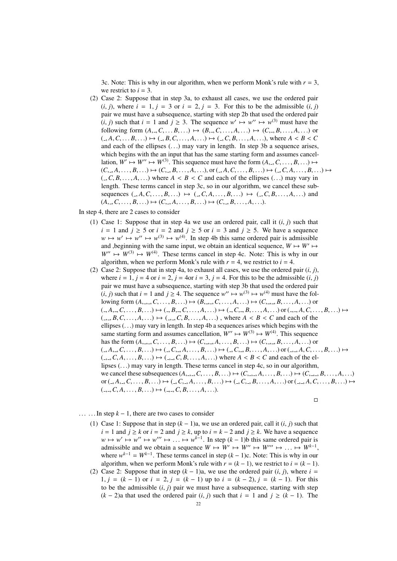3c. Note: This is why in our algorithm, when we perform Monk's rule with  $r = 3$ , we restrict to  $i = 3$ .

(2) Case 2: Suppose that in step 3a, to exhaust all cases, we use the ordered pair  $(i, j)$ , where  $i = 1$ ,  $j = 3$  or  $i = 2$ ,  $j = 3$ . For this to be the admissible  $(i, j)$ pair we must have a subsequence, starting with step 2b that used the ordered pair (*i*, *j*) such that  $i = 1$  and  $j \ge 3$ . The sequence  $w' \mapsto w'' \mapsto w^{(3)}$  must have the following form  $(A \cap B) \mapsto (B \cap A) \mapsto (C \cap B)$ following form  $(A_-, C_+, B_+, \ldots) \mapsto (B_-, C_+, B_+, \ldots) \mapsto (C_-, B_+, \ldots, A_+, \ldots)$  or  $(A, C, \ldots, B, \ldots) \mapsto (B, C, \ldots, A, \ldots) \mapsto (B, C, \ldots, A, \ldots)$ , where  $A \leq B \leq C$ and each of the ellipses  $(\ldots)$  may vary in length. In step 3b a sequence arises, which begins with the an input that has the same starting form and assumes cancellation,  $W' \mapsto W'' \mapsto W^{(3)}$ . This sequence must have the form  $(A_+, C, \ldots, B, \ldots) \mapsto$ <br>  $(C \quad A \quad B \quad ) \mapsto (C \quad B \quad A \quad )$  or  $(A \quad C \quad B \quad ) \mapsto (C \quad A \quad B \quad B \quad )$  $(C, _{\neg}, A, \ldots, B, \ldots) \mapsto (C, _{\neg}, B, \ldots, A, \ldots),$  or  $(., A, C, \ldots, B, \ldots) \mapsto (., C, A, \ldots, B, \ldots) \mapsto$  $(A, C, B, \ldots, A, \ldots)$  where  $A \leq B \leq C$  and each of the ellipses  $(\ldots)$  may vary in length. These terms cancel in step 3c, so in our algorithm, we cancel these subsequences  $(0, A, C, \ldots, B, \ldots) \mapsto (0, C, A, \ldots, B, \ldots) \mapsto (0, C, B, \ldots, A, \ldots)$  and  $(A, \ldots, C, \ldots, B, \ldots) \mapsto (C, \ldots, A, \ldots, B, \ldots) \mapsto (C, \ldots, B, \ldots, A, \ldots).$ 

In step 4, there are 2 cases to consider

- (1) Case 1: Suppose that in step 4a we use an ordered pair, call it  $(i, j)$  such that  $i = 1$  and  $j \ge 5$  or  $i = 2$  and  $j \ge 5$  or  $i = 3$  and  $j \ge 5$ . We have a sequence  $w \mapsto w' \mapsto w'' \mapsto w^{(3)} \mapsto w^{(4)}$ . In step 4b this same ordered pair is admissible and ,beginning with the same input, we obtain an identical sequence,  $W \mapsto W' \mapsto$  $W'' \mapsto W^{(3)} \mapsto W^{(4)}$ . These terms cancel in step 4c. Note: This is why in our algorithm, when we perform Monk's rule with  $r = 4$ , we restrict to  $i = 4$ .
- (2) Case 2: Suppose that in step 4a, to exhaust all cases, we use the ordered pair  $(i, j)$ , where  $i = 1$ ,  $j = 4$  or  $i = 2$ ,  $j = 4$ or  $i = 3$ ,  $j = 4$ . For this to be the admissible  $(i, j)$ pair we must have a subsequence, starting with step 3b that used the ordered pair (*i*, *j*) such that  $i = 1$  and  $j \ge 4$ . The sequence  $w'' \mapsto w^{(3)} \mapsto w^{(4)}$  must have the fol-<br>lowing form  $(A \cap C \cap B) \mapsto (B \cap C \cap A) \mapsto (C \cap B \cap A)$  or lowing form  $(A, ..., C, ..., B, ...) \mapsto (B, ..., C, ..., A, ...) \mapsto (C, ..., B, ..., A, ...)$  or  $(A, A, B, C, \ldots, B, \ldots) \mapsto (B, B, C, \ldots, A, \ldots) \mapsto (B, C, B, \ldots, A, \ldots)$  or  $(A, B, C, \ldots, B, \ldots) \mapsto (B, B, C, \ldots, B, \ldots)$  $(\overline{A}, \overline{B}, \overline{C}, \ldots, A, \ldots) \mapsto (\overline{A}, \overline{C}, \overline{B}, \ldots, \overline{A}, \ldots)$ , where  $A \leq B \leq C$  and each of the ellipses  $(\ldots)$  may vary in length. In step 4b a sequences arises which begins with the same starting form and assumes cancellation,  $W'' \mapsto W^{(3)} \mapsto W^{(4)}$ . This sequence has the form  $(A, \_C, C, \ldots, B, \ldots) \mapsto (C, \_C, A, \ldots, B, \ldots) \mapsto (C, \_C, B, \ldots, A, \ldots)$  or  $(0, A_1, C, \ldots, B, \ldots) \mapsto (0, C_1, A_1, \ldots, B, \ldots) \mapsto (0, C_1, B_1, \ldots, A, \ldots)$  or  $(0, A_1, C_1, \ldots, B, \ldots) \mapsto (0, A_1, A_1, A_1, \ldots)$  $(0, \ldots, C, A, \ldots, B, \ldots) \mapsto (0, \ldots, C, B, \ldots, A, \ldots)$  where  $A < B < C$  and each of the ellipses (. . .) may vary in length. These terms cancel in step 4c, so in our algorithm, we cancel these subsequences  $(A, \ldots, C, \ldots, B, \ldots) \mapsto (C, \ldots, A, \ldots, B, \ldots) \mapsto (C, \ldots, B, \ldots, A, \ldots)$ or  $(0, A_1, C, \ldots, B, \ldots) \mapsto (0, C_1, A_1, \ldots, B, \ldots) \mapsto (0, C_1, B_1, \ldots, A_1, \ldots)$  or  $(0, A_1, C_1, \ldots, B, \ldots) \mapsto (0, C_1, A_1, C_1, \ldots, B_1, \ldots)$ ( , ,*C*, *<sup>A</sup>*, . . . , *<sup>B</sup>*, . . .) 7→ ( , ,*C*, *<sup>B</sup>*, . . . , *<sup>A</sup>*, . . .).

 $\Box$ 

- $\dots$  ... In step  $k 1$ , there are two cases to consider
	- (1) Case 1: Suppose that in step  $(k 1)a$ , we use an ordered pair, call it  $(i, j)$  such that *i* = 1 and *j* ≥ *k* or *i* = 2 and *j* ≥ *k*, up to *i* = *k* − 2 and *j* ≥ *k*. We have a sequence  $w \mapsto w' \mapsto w''' \mapsto \ldots \mapsto w^{k-1}$ . In step  $(k-1)$ b this same ordered pair is admissible and we obtain a sequence  $W \mapsto W' \mapsto W'' \mapsto W''' \mapsto W^{k-1}$ admissible and we obtain a sequence  $W \mapsto W' \mapsto W'' \mapsto W''' \mapsto \ldots \mapsto W^{k-1}$ ,<br>where  $w^{k-1} - W^{k-1}$ . These terms cancel in step  $(k-1)c$ . Note: This is why in our where  $w^{k-1} = W^{k-1}$ . These terms cancel in step  $(k-1)c$ . Note: This is why in our algorithm, when we perform Monk's rule with  $r = (k - 1)$ , we restrict to  $i = (k - 1)$ .
	- (2) Case 2: Suppose that in step  $(k 1)a$ , we use the ordered pair  $(i, j)$ , where  $i =$ 1,  $j = (k - 1)$  or  $i = 2$ ,  $j = (k - 1)$  up to  $i = (k - 2)$ ,  $j = (k - 1)$ . For this to be the admissible  $(i, j)$  pair we must have a subsequence, starting with step  $(k − 2)$ a that used the ordered pair  $(i, j)$  such that  $i = 1$  and  $j ≥ (k − 1)$ . The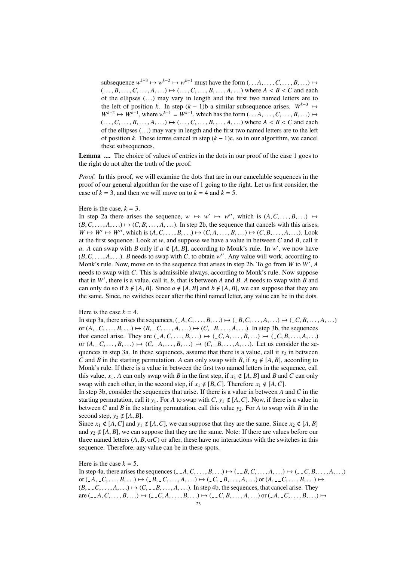subsequence  $w^{k-3} \mapsto w^{k-2} \mapsto w^{k-1}$  must have the form  $(\ldots A, \ldots, C, \ldots, B, \ldots) \mapsto$ <br> $(A, B, C, A, \ldots) \mapsto (A, B, A, \ldots)$  where  $A, B, C, C$  and each  $( \ldots, B, \ldots, C, \ldots, A, \ldots) \mapsto ( \ldots, C, \ldots, B, \ldots, A, \ldots)$  where  $A < B < C$  and each of the ellipses (. . .) may vary in length and the first two named letters are to the left of position *k*. In step  $(k - 1)$ b a similar subsequence arises.  $W^{k-3} \mapsto$  $W^{k-2} \mapsto W^{k-1}$ , where  $w^{k-1} = W^{k-1}$ , which has the form  $(\ldots A, \ldots, C, \ldots, B, \ldots) \mapsto$ <br>  $(C \cap B \cap A \cap C)$  where  $A \leq B \leq C$  and each  $( \ldots, C, \ldots, B, \ldots, A, \ldots) \mapsto ( \ldots, C, \ldots, B, \ldots, A, \ldots)$  where  $A < B < C$  and each of the ellipses (. . .) may vary in length and the first two named letters are to the left of position *k*. These terms cancel in step  $(k - 1)c$ , so in our algorithm, we cancel these subsequences.

Lemma .... The choice of values of entries in the dots in our proof of the case 1 goes to the right do not alter the truth of the proof.

*Proof.* In this proof, we will examine the dots that are in our cancelable sequences in the proof of our general algorithm for the case of 1 going to the right. Let us first consider, the case of  $k = 3$ , and then we will move on to  $k = 4$  and  $k = 5$ .

#### Here is the case,  $k = 3$ .

In step 2a there arises the sequence,  $w \mapsto w' \mapsto w''$ , which is  $(A, C, \ldots, B, \ldots) \mapsto (B, C \leq A) \mapsto (C, B \leq A)$ . In step 2b the sequence that cancels with this grises  $(B, C, \ldots, A, \ldots) \mapsto (C, B, \ldots, A, \ldots)$ . In step 2b, the sequence that cancels with this arises,  $W \mapsto W' \mapsto W''$ , which is  $(A, C, \ldots, B, \ldots) \mapsto (C, A, \ldots, B, \ldots) \mapsto (C, B, \ldots, A, \ldots)$ . Look at the first sequence. Look at *w*, and suppose we have a value in between *C* and *B*, call it *a*. *A* can swap with *B* only if  $a \notin [A, B]$ , according to Monk's rule. In *w'*, we now have *B*  $\overline{B}$   $C$   $A$   $B$  needs to swap with  $C$  to obtain *w''*. Any value will work according to  $(B, C, \ldots, A, \ldots)$ . *B* needs to swap with *C*, to obtain *w*''. Any value will work, according to Monk's rule. Now, move on to the sequence that arises in step 2b. To go from *W* to *W'*. Monk's rule. Now, move on to the sequence that arises in step 2b. To go from *W* to *W'*, *A* needs to swap with *C*. This is admissible always, according to Monk's rule. Now suppose that in  $W'$ , there is a value, call it,  $b$ , that is between  $A$  and  $B$ .  $A$  needs to swap with  $B$  and can only do so if  $b \notin [A, B]$ . Since  $a \notin [A, B]$  and  $b \notin [A, B]$ , we can suppose that they are the same. Since, no switches occur after the third named letter, any value can be in the dots.

#### Here is the case  $k = 4$ .

In step 3a, there arises the sequences,  $(A, C, \ldots, B, \ldots) \mapsto (B, C, \ldots, A, \ldots) \mapsto (B, C, B, \ldots, A, \ldots)$ or  $(A, \_C, \ldots, B, \ldots) \mapsto (B, \_C, \ldots, A, \ldots) \mapsto (C, \_B, \ldots, A, \ldots)$ . In step 3b, the sequences that cancel arise. They are  $(A, C, \ldots, B, \ldots) \mapsto (C, A, \ldots, B, \ldots) \mapsto (C, B, \ldots, A, \ldots)$ or  $(A, \_C, \ldots, B, \ldots) \mapsto (C, \_A, \ldots, B, \ldots) \mapsto (C, \_B, \ldots, A, \ldots)$ . Let us consider the sequences in step 3a. In these sequences, assume that there is a value, call it  $x_2$  in between *C* and *B* in the starting permutation. *A* can only swap with *B*, if  $x_2 \notin [A, B]$ , according to Monk's rule. If there is a value in between the first two named letters in the sequence, call this value,  $x_1$ . *A* can only swap with *B* in the first step, if  $x_1 \notin [A, B]$  and *B* and *C* can only swap with each other, in the second step, if  $x_1 \notin [B, C]$ . Therefore  $x_1 \notin [A, C]$ .

In step 3b, consider the sequences that arise. If there is a value in between *A* and *C* in the starting permutation, call it  $y_1$ . For *A* to swap with *C*,  $y_1 \notin [A, C]$ . Now, if there is a value in between *C* and *B* in the starting permutation, call this value  $y_2$ . For *A* to swap with *B* in the second step,  $y_2 \notin [A, B]$ .

Since  $x_1 \notin [A, C]$  and  $y_1 \notin [A, C]$ , we can suppose that they are the same. Since  $x_2 \notin [A, B]$ and  $y_2 \notin [A, B]$ , we can suppose that they are the same. Note: If there are values before our three named letters  $(A, B, \text{or} C)$  or after, these have no interactions with the switches in this sequence. Therefore, any value can be in these spots.

#### Here is the case  $k = 5$ .

In step 4a, there arises the sequences  $\langle A, C, \ldots, B, \ldots \rangle \mapsto \langle A, C, \ldots, A, \ldots \rangle \mapsto \langle A, C, B, \ldots, A, \ldots \rangle$ or  $(A, C, \ldots, B, \ldots) \mapsto (B, C, \ldots, A, \ldots) \mapsto (C, B, \ldots, A, \ldots)$  or  $(A, C, \ldots, B, \ldots) \mapsto$  $(B, \ldots, C, \ldots, A, \ldots) \mapsto (C, \ldots, B, \ldots, A, \ldots)$ . In step 4b, the sequences, that cancel arise. They  $\text{are } (-A, C, \ldots, B, \ldots) \mapsto (-C, A, \ldots, B, \ldots) \mapsto (-C, B, \ldots, A, \ldots) \text{ or } (-A, -C, \ldots, B, \ldots) \mapsto$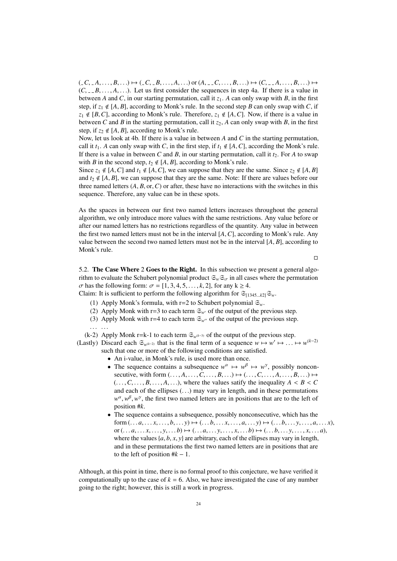$(C, C, A, \ldots, B, \ldots) \mapsto (C, C, B, \ldots, A, \ldots)$  or  $(A, C, C, \ldots, B, \ldots) \mapsto (C, C, B, \ldots, B, \ldots) \mapsto (C, C, B, \ldots)$  $(C, -B, \ldots, A, \ldots)$ . Let us first consider the sequences in step 4a. If there is a value in between *A* and *C*, in our starting permutation, call it  $z_1$ . *A* can only swap with *B*, in the first step, if  $z_1 \notin [A, B]$ , according to Monk's rule. In the second step *B* can only swap with *C*, if  $z_1 \notin [B, C]$ , according to Monk's rule. Therefore,  $z_1 \notin [A, C]$ . Now, if there is a value in between *C* and *B* in the starting permutation, call it  $z_2$ , *A* can only swap with *B*, in the first step, if  $z_2 \notin [A, B]$ , according to Monk's rule.

Now, let us look at 4b. If there is a value in between *A* and *C* in the starting permutation, call it  $t_1$ . *A* can only swap with *C*, in the first step, if  $t_1 \notin [A, C]$ , according the Monk's rule. If there is a value in between *C* and *B*, in our starting permutation, call it  $t_2$ . For *A* to swap with *B* in the second step,  $t_2 \notin [A, B]$ , according to Monk's rule.

Since  $z_1 \notin [A, C]$  and  $t_1 \notin [A, C]$ , we can suppose that they are the same. Since  $z_2 \notin [A, B]$ and  $t_2 \notin [A, B]$ , we can suppose that they are the same. Note: If there are values before our three named letters  $(A, B, or, C)$  or after, these have no interactions with the switches in this sequence. Therefore, any value can be in these spots.

As the spaces in between our first two named letters increases throughout the general algorithm, we only introduce more values with the same restrictions. Any value before or after our named letters has no restrictions regardless of the quantity. Any value in between the first two named letters must not be in the interval [*A*,*C*], according to Monk's rule. Any value between the second two named letters must not be in the interval  $[A, B]$ , according to Monk's rule.

 $\Box$ 

5.2. The Case Where 2 Goes to the Right. In this subsection we present a general algorithm to evaluate the Schubert polynomial product  $\mathfrak{S}_w \mathfrak{S}_{\sigma}$  in all cases where the permutation  $\sigma$  has the following form:  $\sigma = [1, 3, 4, 5, \ldots, k, 2]$ , for any  $k \ge 4$ .

Claim: It is sufficient to perform the following algorithm for  $\mathfrak{S}_{[1345...k2]}\mathfrak{S}_{w}$ .

- (1) Apply Monk's formula, with r=2 to Schubert polynomial  $\mathfrak{S}_w$ .
- (2) Apply Monk with r=3 to each term  $\mathfrak{S}_{w}$  of the output of the previous step.
- (3) Apply Monk with r=4 to each term  $\mathfrak{S}_{w''}$  of the output of the previous step.
- 

(k-2) Apply Monk r=k-1 to each term S*w*(*k*−3) of the output of the previous step.

(Lastly) Discard each  $\mathfrak{S}_{w^{(k-2)}}$  that is the final term of a sequence  $w \mapsto w' \mapsto \ldots \mapsto w^{(k-2)}$ <br>such that one or more of the following conditions are satisfied such that one or more of the following conditions are satisfied.

• An i-value, in Monk's rule, is used more than once.

- The sequence contains a subsequence  $w^{\alpha} \mapsto w^{\beta} \mapsto w^{\gamma}$ , possibly nonconsecutive, with form  $(\ldots, A, \ldots, C, \ldots, B, \ldots) \mapsto (\ldots, C, \ldots, A, \ldots, B, \ldots) \mapsto$  $( \ldots, C, \ldots, B, \ldots, A, \ldots)$ , where the values satify the inequality  $A \leq B \leq C$ and each of the ellipses  $( \ldots )$  may vary in length, and in these permutations  $w^{\alpha}, w^{\beta}, w^{\gamma}$ , the first two named letters are in positions that are to the left of position  $\#$ position #*k*.
- The sequence contains a subsequence, possibly nonconsecutive, which has the form  $(\ldots a, \ldots x, \ldots, b, \ldots y) \mapsto (\ldots b, \ldots x, \ldots, a, \ldots y) \mapsto (\ldots b, \ldots y, \ldots, a, \ldots x)$ or  $( \ldots a, \ldots x, \ldots, y, \ldots b) \mapsto ( \ldots a, \ldots y, \ldots, x, \ldots b) \mapsto ( \ldots b, \ldots y, \ldots, x, \ldots a)$ , where the values  $\{a, b, x, y\}$  are arbitrary, each of the ellipses may vary in length, and in these permutations the first two named letters are in positions that are to the left of position  $#k - 1$ .

Although, at this point in time, there is no formal proof to this conjecture, we have verified it computationally up to the case of  $k = 6$ . Also, we have investigated the case of any number going to the right; however, this is still a work in progress.